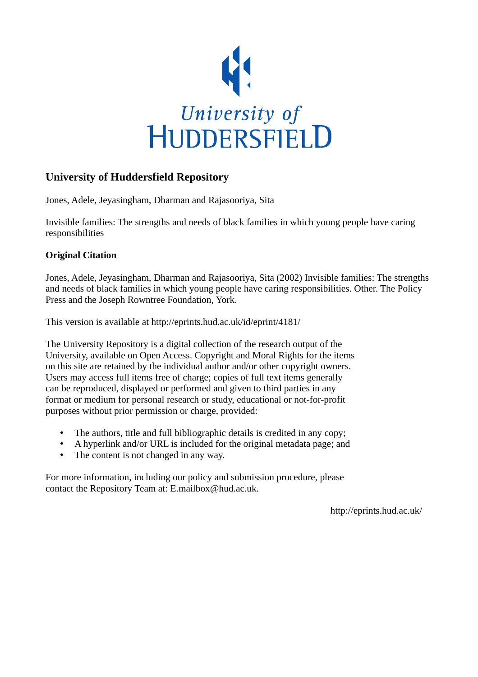

### **University of Huddersfield Repository**

Jones, Adele, Jeyasingham, Dharman and Rajasooriya, Sita

Invisible families: The strengths and needs of black families in which young people have caring responsibilities

### **Original Citation**

Jones, Adele, Jeyasingham, Dharman and Rajasooriya, Sita (2002) Invisible families: The strengths and needs of black families in which young people have caring responsibilities. Other. The Policy Press and the Joseph Rowntree Foundation, York.

This version is available at http://eprints.hud.ac.uk/id/eprint/4181/

The University Repository is a digital collection of the research output of the University, available on Open Access. Copyright and Moral Rights for the items on this site are retained by the individual author and/or other copyright owners. Users may access full items free of charge; copies of full text items generally can be reproduced, displayed or performed and given to third parties in any format or medium for personal research or study, educational or not-for-profit purposes without prior permission or charge, provided:

- The authors, title and full bibliographic details is credited in any copy;
- A hyperlink and/or URL is included for the original metadata page; and
- The content is not changed in any way.

For more information, including our policy and submission procedure, please contact the Repository Team at: E.mailbox@hud.ac.uk.

http://eprints.hud.ac.uk/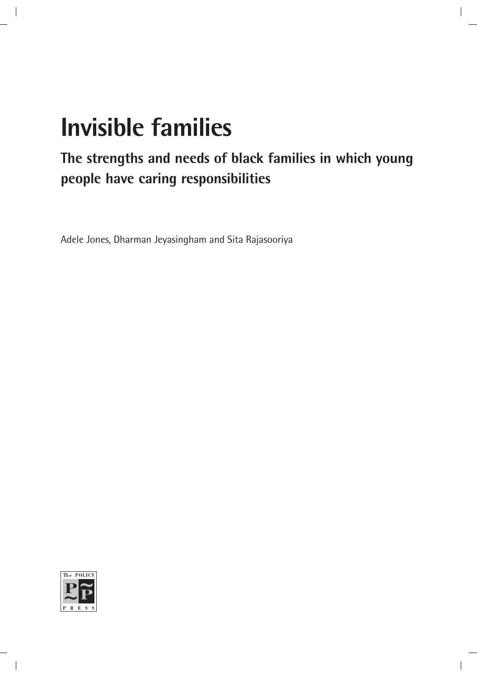# **Invisible families**

### **The strengths and needs of black families in which young people have caring responsibilities**

Adele Jones, Dharman Jeyasingham and Sita Rajasooriya

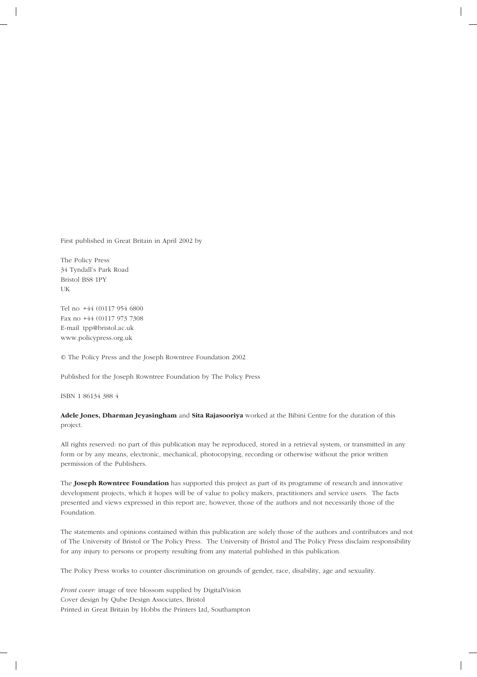First published in Great Britain in April 2002 by

The Policy Press 34 Tyndall's Park Road Bristol BS8 1PY UK

Tel no +44 (0)117 954 6800 Fax no +44 (0)117 973 7308 E-mail tpp@bristol.ac.uk www.policypress.org.uk

© The Policy Press and the Joseph Rowntree Foundation 2002

Published for the Joseph Rowntree Foundation by The Policy Press

ISBN 1 86134 388 4

#### **Adele Jones, Dharman Jeyasingham** and **Sita Rajasooriya** worked at the Bibini Centre for the duration of this project.

All rights reserved: no part of this publication may be reproduced, stored in a retrieval system, or transmitted in any form or by any means, electronic, mechanical, photocopying, recording or otherwise without the prior written permission of the Publishers.

The **Joseph Rowntree Foundation** has supported this project as part of its programme of research and innovative development projects, which it hopes will be of value to policy makers, practitioners and service users. The facts presented and views expressed in this report are, however, those of the authors and not necessarily those of the Foundation.

The statements and opinions contained within this publication are solely those of the authors and contributors and not of The University of Bristol or The Policy Press. The University of Bristol and The Policy Press disclaim responsibility for any injury to persons or property resulting from any material published in this publication.

The Policy Press works to counter discrimination on grounds of gender, race, disability, age and sexuality.

*Front cover:* image of tree blossom supplied by DigitalVision Cover design by Qube Design Associates, Bristol Printed in Great Britain by Hobbs the Printers Ltd, Southampton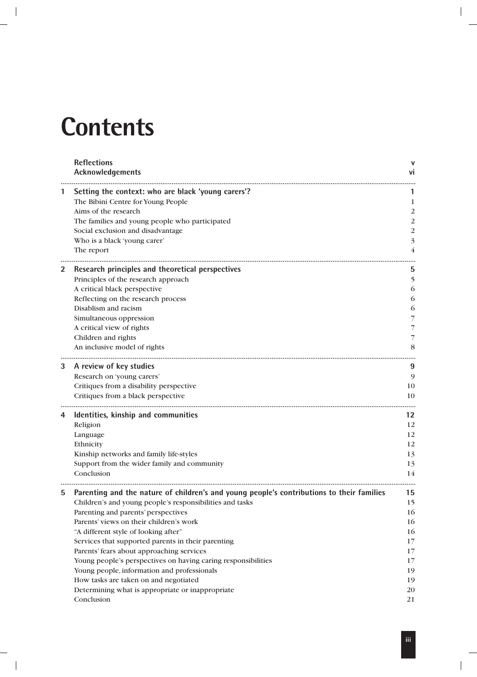### **Contents**

|   | <b>Reflections</b><br>Acknowledgements                                                    | ۷I             |
|---|-------------------------------------------------------------------------------------------|----------------|
| 1 | Setting the context: who are black 'young carers'?                                        |                |
|   | The Bibini Centre for Young People                                                        | 1              |
|   | Aims of the research                                                                      | 2              |
|   | The families and young people who participated                                            | 2              |
|   | Social exclusion and disadvantage                                                         | $\overline{2}$ |
|   | Who is a black 'young carer'                                                              | 3              |
|   | The report                                                                                | 4              |
| 2 | Research principles and theoretical perspectives                                          | 5              |
|   | Principles of the research approach                                                       | 5              |
|   | A critical black perspective                                                              | 6              |
|   | Reflecting on the research process                                                        | 6              |
|   | Disablism and racism                                                                      | 6              |
|   | Simultaneous oppression                                                                   |                |
|   | A critical view of rights                                                                 | 7              |
|   | Children and rights                                                                       | 7              |
|   | An inclusive model of rights                                                              | 8              |
| 3 | A review of key studies                                                                   | 9              |
|   | Research on 'young carers'                                                                | 9              |
|   | Critiques from a disability perspective                                                   | 10             |
|   | Critiques from a black perspective                                                        | 10             |
| 4 | Identities, kinship and communities                                                       | 12             |
|   | Religion                                                                                  | 12             |
|   | Language                                                                                  | 12             |
|   | Ethnicity                                                                                 | 12             |
|   | Kinship networks and family life-styles                                                   | 13             |
|   | Support from the wider family and community                                               | 13             |
|   | Conclusion                                                                                | 14             |
|   | Parenting and the nature of children's and young people's contributions to their families | 15             |
|   | Children's and young people's responsibilities and tasks                                  | 15             |
|   | Parenting and parents' perspectives                                                       | 16             |
|   | Parents' views on their children's work                                                   | 16             |
|   | "A different style of looking after"                                                      | 16             |
|   | Services that supported parents in their parenting                                        | 17             |
|   | Parents' fears about approaching services                                                 | 17             |
|   | Young people's perspectives on having caring responsibilities                             | 17             |
|   | Young people, information and professionals                                               | 19             |
|   | How tasks are taken on and negotiated                                                     | 19             |
|   | Determining what is appropriate or inappropriate                                          | 20             |
|   | Conclusion                                                                                | 21             |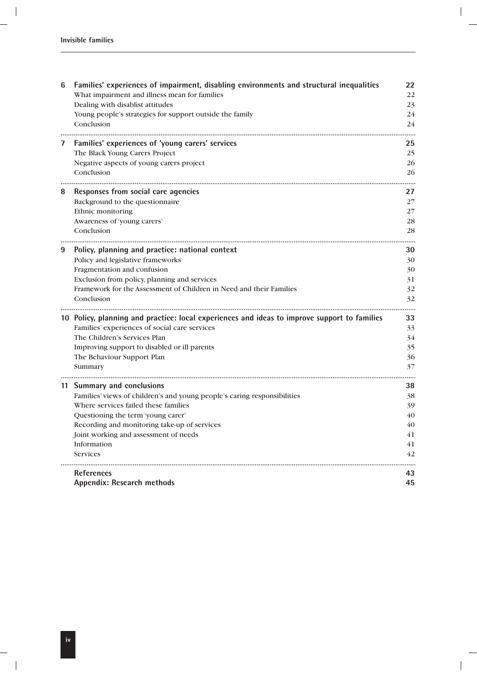| 6 | Families' experiences of impairment, disabling environments and structural inequalities      | 22 |
|---|----------------------------------------------------------------------------------------------|----|
|   | What impairment and illness mean for families                                                | 22 |
|   | Dealing with disablist attitudes                                                             | 23 |
|   | Young people's strategies for support outside the family                                     | 24 |
|   | Conclusion                                                                                   | 24 |
| 7 | Families' experiences of 'young carers' services                                             | 25 |
|   | The Black Young Carers Project                                                               | 25 |
|   | Negative aspects of young carers project                                                     | 26 |
|   | Conclusion                                                                                   | 26 |
| 8 | Responses from social care agencies                                                          | 27 |
|   | Background to the questionnaire                                                              | 27 |
|   | Ethnic monitoring                                                                            | 27 |
|   | Awareness of 'young carers'                                                                  | 28 |
|   | Conclusion                                                                                   | 28 |
| 9 | Policy, planning and practice: national context                                              | 30 |
|   | Policy and legislative frameworks                                                            | 30 |
|   | Fragmentation and confusion                                                                  | 30 |
|   | Exclusion from policy, planning and services                                                 | 31 |
|   | Framework for the Assessment of Children in Need and their Families                          | 32 |
|   | Conclusion                                                                                   | 32 |
|   | 10 Policy, planning and practice: local experiences and ideas to improve support to families | 33 |
|   | Families' experiences of social care services                                                | 33 |
|   | The Children's Services Plan                                                                 | 34 |
|   | Improving support to disabled or ill parents                                                 | 35 |
|   | The Behaviour Support Plan                                                                   | 36 |
|   | Summary                                                                                      | 37 |
|   | 11 Summary and conclusions                                                                   | 38 |
|   | Families' views of children's and young people's caring responsibilities                     | 38 |
|   | Where services failed these families                                                         | 39 |
|   | Questioning the term 'young carer'                                                           | 40 |
|   | Recording and monitoring take-up of services                                                 | 40 |
|   | Joint working and assessment of needs                                                        | 41 |
|   | Information                                                                                  | 41 |
|   | <b>Services</b>                                                                              | 42 |
|   | <b>References</b>                                                                            | 43 |
|   | <b>Appendix: Research methods</b>                                                            | 45 |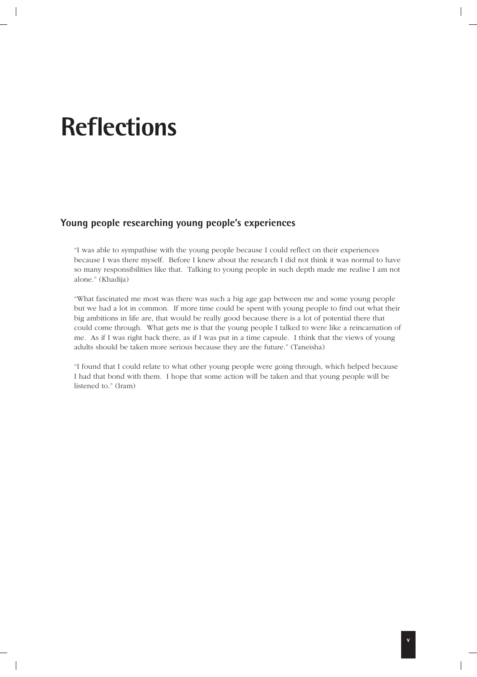### **Reflections**

### **Young people researching young people's experiences**

"I was able to sympathise with the young people because I could reflect on their experiences because I was there myself. Before I knew about the research I did not think it was normal to have so many responsibilities like that. Talking to young people in such depth made me realise I am not alone." (Khadija)

"What fascinated me most was there was such a big age gap between me and some young people but we had a lot in common. If more time could be spent with young people to find out what their big ambitions in life are, that would be really good because there is a lot of potential there that could come through. What gets me is that the young people I talked to were like a reincarnation of me. As if I was right back there, as if I was put in a time capsule. I think that the views of young adults should be taken more serious because they are the future." (Taneisha)

"I found that I could relate to what other young people were going through, which helped because I had that bond with them. I hope that some action will be taken and that young people will be listened to." (Iram)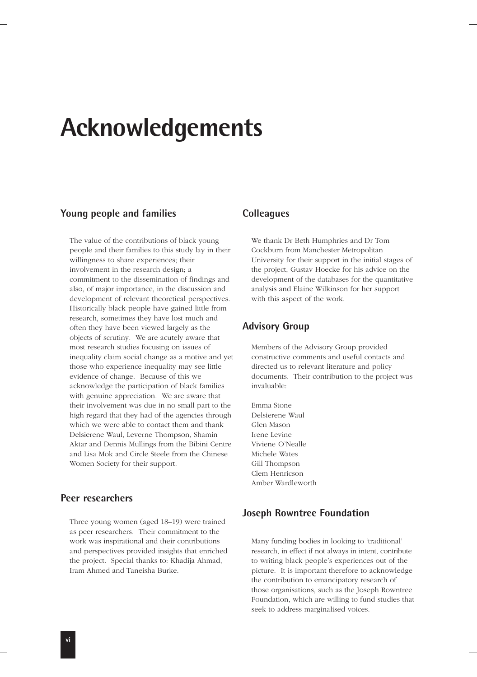### **Acknowledgements**

### **Young people and families**

The value of the contributions of black young people and their families to this study lay in their willingness to share experiences; their involvement in the research design; a commitment to the dissemination of findings and also, of major importance, in the discussion and development of relevant theoretical perspectives. Historically black people have gained little from research, sometimes they have lost much and often they have been viewed largely as the objects of scrutiny. We are acutely aware that most research studies focusing on issues of inequality claim social change as a motive and yet those who experience inequality may see little evidence of change. Because of this we acknowledge the participation of black families with genuine appreciation. We are aware that their involvement was due in no small part to the high regard that they had of the agencies through which we were able to contact them and thank Delsierene Waul, Leverne Thompson, Shamin Aktar and Dennis Mullings from the Bibini Centre and Lisa Mok and Circle Steele from the Chinese Women Society for their support.

### **Peer researchers**

Three young women (aged 18–19) were trained as peer researchers. Their commitment to the work was inspirational and their contributions and perspectives provided insights that enriched the project. Special thanks to: Khadija Ahmad, Iram Ahmed and Taneisha Burke.

### **Colleagues**

We thank Dr Beth Humphries and Dr Tom Cockburn from Manchester Metropolitan University for their support in the initial stages of the project, Gustav Hoecke for his advice on the development of the databases for the quantitative analysis and Elaine Wilkinson for her support with this aspect of the work.

### **Advisory Group**

Members of the Advisory Group provided constructive comments and useful contacts and directed us to relevant literature and policy documents. Their contribution to the project was invaluable:

Emma Stone Delsierene Waul Glen Mason Irene Levine Viviene O'Nealle Michele Wates Gill Thompson Clem Henricson Amber Wardleworth

### **Joseph Rowntree Foundation**

Many funding bodies in looking to 'traditional' research, in effect if not always in intent, contribute to writing black people's experiences out of the picture. It is important therefore to acknowledge the contribution to emancipatory research of those organisations, such as the Joseph Rowntree Foundation, which are willing to fund studies that seek to address marginalised voices.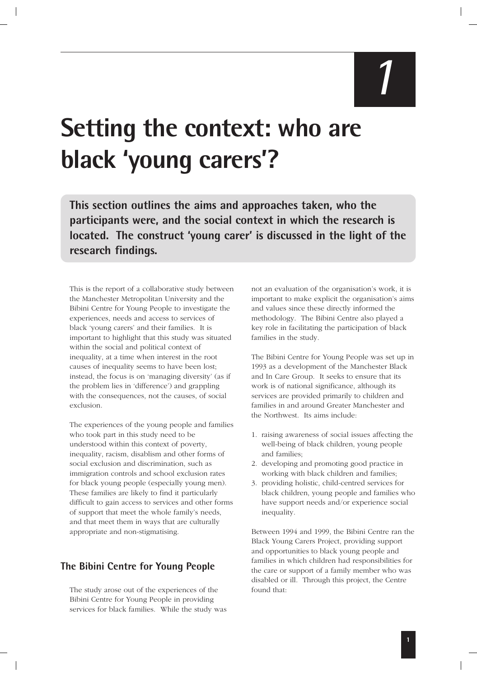### **Setting the context: who are black 'young carers'?**

**This section outlines the aims and approaches taken, who the participants were, and the social context in which the research is located. The construct 'young carer' is discussed in the light of the research findings.**

This is the report of a collaborative study between the Manchester Metropolitan University and the Bibini Centre for Young People to investigate the experiences, needs and access to services of black 'young carers' and their families. It is important to highlight that this study was situated within the social and political context of inequality, at a time when interest in the root causes of inequality seems to have been lost; instead, the focus is on 'managing diversity' (as if the problem lies in 'difference') and grappling with the consequences, not the causes, of social exclusion.

The experiences of the young people and families who took part in this study need to be understood within this context of poverty, inequality, racism, disablism and other forms of social exclusion and discrimination, such as immigration controls and school exclusion rates for black young people (especially young men). These families are likely to find it particularly difficult to gain access to services and other forms of support that meet the whole family's needs, and that meet them in ways that are culturally appropriate and non-stigmatising.

### **The Bibini Centre for Young People**

The study arose out of the experiences of the Bibini Centre for Young People in providing services for black families. While the study was not an evaluation of the organisation's work, it is important to make explicit the organisation's aims and values since these directly informed the methodology. The Bibini Centre also played a key role in facilitating the participation of black families in the study.

The Bibini Centre for Young People was set up in 1993 as a development of the Manchester Black and In Care Group. It seeks to ensure that its work is of national significance, although its services are provided primarily to children and families in and around Greater Manchester and the Northwest. Its aims include:

- 1. raising awareness of social issues affecting the well-being of black children, young people and families;
- 2. developing and promoting good practice in working with black children and families;
- 3. providing holistic, child-centred services for black children, young people and families who have support needs and/or experience social inequality.

Between 1994 and 1999, the Bibini Centre ran the Black Young Carers Project, providing support and opportunities to black young people and families in which children had responsibilities for the care or support of a family member who was disabled or ill. Through this project, the Centre found that: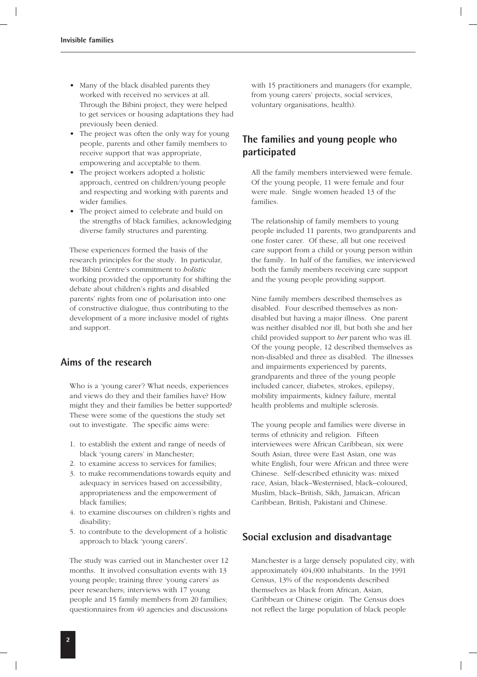- Many of the black disabled parents they worked with received no services at all. Through the Bibini project, they were helped to get services or housing adaptations they had previously been denied.
- The project was often the only way for young people, parents and other family members to receive support that was appropriate, empowering and acceptable to them.
- The project workers adopted a holistic approach, centred on children/young people and respecting and working with parents and wider families.
- The project aimed to celebrate and build on the strengths of black families, acknowledging diverse family structures and parenting.

These experiences formed the basis of the research principles for the study. In particular, the Bibini Centre's commitment to *holistic* working provided the opportunity for shifting the debate about children's rights and disabled parents' rights from one of polarisation into one of constructive dialogue, thus contributing to the development of a more inclusive model of rights and support.

### **Aims of the research**

Who is a 'young carer'? What needs, experiences and views do they and their families have? How might they and their families be better supported? These were some of the questions the study set out to investigate. The specific aims were:

- 1. to establish the extent and range of needs of black 'young carers' in Manchester;
- 2. to examine access to services for families;
- 3. to make recommendations towards equity and adequacy in services based on accessibility, appropriateness and the empowerment of black families;
- 4. to examine discourses on children's rights and disability;
- 5. to contribute to the development of a holistic approach to black 'young carers'.

The study was carried out in Manchester over 12 months. It involved consultation events with 13 young people; training three 'young carers' as peer researchers; interviews with 17 young people and 15 family members from 20 families; questionnaires from 40 agencies and discussions

with 15 practitioners and managers (for example, from young carers' projects, social services, voluntary organisations, health).

### **The families and young people who participated**

All the family members interviewed were female. Of the young people, 11 were female and four were male. Single women headed 13 of the families.

The relationship of family members to young people included 11 parents, two grandparents and one foster carer. Of these, all but one received care support from a child or young person within the family. In half of the families, we interviewed both the family members receiving care support and the young people providing support.

Nine family members described themselves as disabled. Four described themselves as nondisabled but having a major illness. One parent was neither disabled nor ill, but both she and her child provided support to *her* parent who was ill. Of the young people, 12 described themselves as non-disabled and three as disabled. The illnesses and impairments experienced by parents, grandparents and three of the young people included cancer, diabetes, strokes, epilepsy, mobility impairments, kidney failure, mental health problems and multiple sclerosis.

The young people and families were diverse in terms of ethnicity and religion. Fifteen interviewees were African Caribbean, six were South Asian, three were East Asian, one was white English, four were African and three were Chinese. Self-described ethnicity was: mixed race, Asian, black–Westernised, black–coloured, Muslim, black–British, Sikh, Jamaican, African Caribbean, British, Pakistani and Chinese.

### **Social exclusion and disadvantage**

Manchester is a large densely populated city, with approximately 404,000 inhabitants. In the 1991 Census, 13% of the respondents described themselves as black from African, Asian, Caribbean or Chinese origin. The Census does not reflect the large population of black people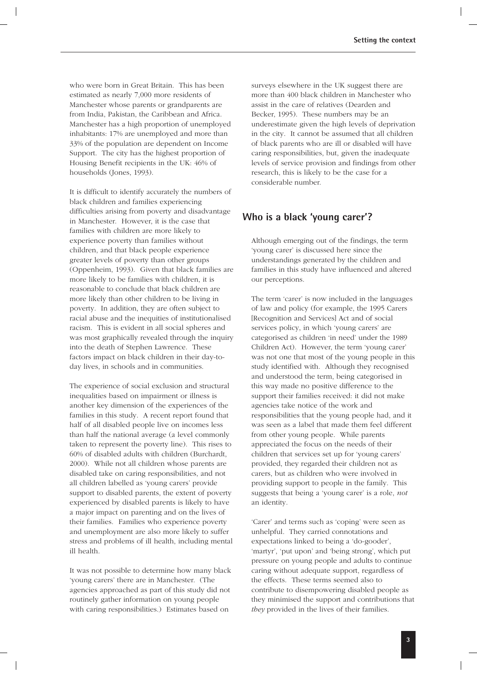who were born in Great Britain. This has been estimated as nearly 7,000 more residents of Manchester whose parents or grandparents are from India, Pakistan, the Caribbean and Africa. Manchester has a high proportion of unemployed inhabitants: 17% are unemployed and more than 33% of the population are dependent on Income Support. The city has the highest proportion of Housing Benefit recipients in the UK: 46% of households (Jones, 1993).

It is difficult to identify accurately the numbers of black children and families experiencing difficulties arising from poverty and disadvantage in Manchester. However, it is the case that families with children are more likely to experience poverty than families without children, and that black people experience greater levels of poverty than other groups (Oppenheim, 1993). Given that black families are more likely to be families with children, it is reasonable to conclude that black children are more likely than other children to be living in poverty. In addition, they are often subject to racial abuse and the inequities of institutionalised racism. This is evident in all social spheres and was most graphically revealed through the inquiry into the death of Stephen Lawrence. These factors impact on black children in their day-today lives, in schools and in communities.

The experience of social exclusion and structural inequalities based on impairment or illness is another key dimension of the experiences of the families in this study. A recent report found that half of all disabled people live on incomes less than half the national average (a level commonly taken to represent the poverty line). This rises to 60% of disabled adults with children (Burchardt, 2000). While not all children whose parents are disabled take on caring responsibilities, and not all children labelled as 'young carers' provide support to disabled parents, the extent of poverty experienced by disabled parents is likely to have a major impact on parenting and on the lives of their families. Families who experience poverty and unemployment are also more likely to suffer stress and problems of ill health, including mental ill health.

It was not possible to determine how many black 'young carers' there are in Manchester. (The agencies approached as part of this study did not routinely gather information on young people with caring responsibilities.) Estimates based on

surveys elsewhere in the UK suggest there are more than 400 black children in Manchester who assist in the care of relatives (Dearden and Becker, 1995). These numbers may be an underestimate given the high levels of deprivation in the city. It cannot be assumed that all children of black parents who are ill or disabled will have caring responsibilities, but, given the inadequate levels of service provision and findings from other research, this is likely to be the case for a considerable number.

### **Who is a black 'young carer'?**

Although emerging out of the findings, the term 'young carer' is discussed here since the understandings generated by the children and families in this study have influenced and altered our perceptions.

The term 'carer' is now included in the languages of law and policy (for example, the 1995 Carers [Recognition and Services] Act and of social services policy, in which 'young carers' are categorised as children 'in need' under the 1989 Children Act). However, the term 'young carer' was not one that most of the young people in this study identified with. Although they recognised and understood the term, being categorised in this way made no positive difference to the support their families received: it did not make agencies take notice of the work and responsibilities that the young people had, and it was seen as a label that made them feel different from other young people. While parents appreciated the focus on the needs of their children that services set up for 'young carers' provided, they regarded their children not as carers, but as children who were involved in providing support to people in the family. This suggests that being a 'young carer' is a role, *not* an identity.

'Carer' and terms such as 'coping' were seen as unhelpful. They carried connotations and expectations linked to being a 'do-gooder', 'martyr', 'put upon' and 'being strong', which put pressure on young people and adults to continue caring without adequate support, regardless of the effects. These terms seemed also to contribute to disempowering disabled people as they minimised the support and contributions that *they* provided in the lives of their families.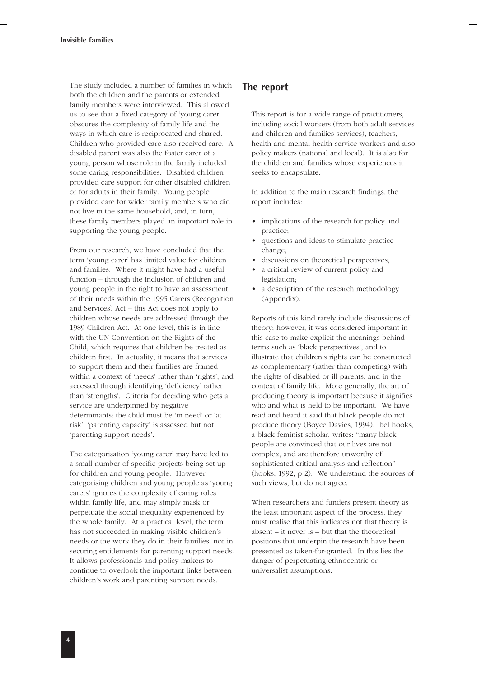The study included a number of families in which both the children and the parents or extended family members were interviewed. This allowed us to see that a fixed category of 'young carer' obscures the complexity of family life and the ways in which care is reciprocated and shared. Children who provided care also received care. A disabled parent was also the foster carer of a young person whose role in the family included some caring responsibilities. Disabled children provided care support for other disabled children or for adults in their family. Young people provided care for wider family members who did not live in the same household, and, in turn, these family members played an important role in supporting the young people.

From our research, we have concluded that the term 'young carer' has limited value for children and families. Where it might have had a useful function – through the inclusion of children and young people in the right to have an assessment of their needs within the 1995 Carers (Recognition and Services) Act – this Act does not apply to children whose needs are addressed through the 1989 Children Act. At one level, this is in line with the UN Convention on the Rights of the Child, which requires that children be treated as children first. In actuality, it means that services to support them and their families are framed within a context of 'needs' rather than 'rights', and accessed through identifying 'deficiency' rather than 'strengths'. Criteria for deciding who gets a service are underpinned by negative determinants: the child must be 'in need' or 'at risk'; 'parenting capacity' is assessed but not 'parenting support needs'.

The categorisation 'young carer' may have led to a small number of specific projects being set up for children and young people. However, categorising children and young people as 'young carers' ignores the complexity of caring roles within family life, and may simply mask or perpetuate the social inequality experienced by the whole family. At a practical level, the term has not succeeded in making visible children's needs or the work they do in their families, nor in securing entitlements for parenting support needs. It allows professionals and policy makers to continue to overlook the important links between children's work and parenting support needs.

### **The report**

This report is for a wide range of practitioners, including social workers (from both adult services and children and families services), teachers, health and mental health service workers and also policy makers (national and local). It is also for the children and families whose experiences it seeks to encapsulate.

In addition to the main research findings, the report includes:

- implications of the research for policy and practice;
- questions and ideas to stimulate practice change;
- discussions on theoretical perspectives;
- a critical review of current policy and legislation;
- a description of the research methodology (Appendix).

Reports of this kind rarely include discussions of theory; however, it was considered important in this case to make explicit the meanings behind terms such as 'black perspectives', and to illustrate that children's rights can be constructed as complementary (rather than competing) with the rights of disabled or ill parents, and in the context of family life. More generally, the art of producing theory is important because it signifies who and what is held to be important. We have read and heard it said that black people do not produce theory (Boyce Davies, 1994). bel hooks, a black feminist scholar, writes: "many black people are convinced that our lives are not complex, and are therefore unworthy of sophisticated critical analysis and reflection" (hooks, 1992, p 2). We understand the sources of such views, but do not agree.

When researchers and funders present theory as the least important aspect of the process, they must realise that this indicates not that theory is absent – it never is – but that the theoretical positions that underpin the research have been presented as taken-for-granted. In this lies the danger of perpetuating ethnocentric or universalist assumptions.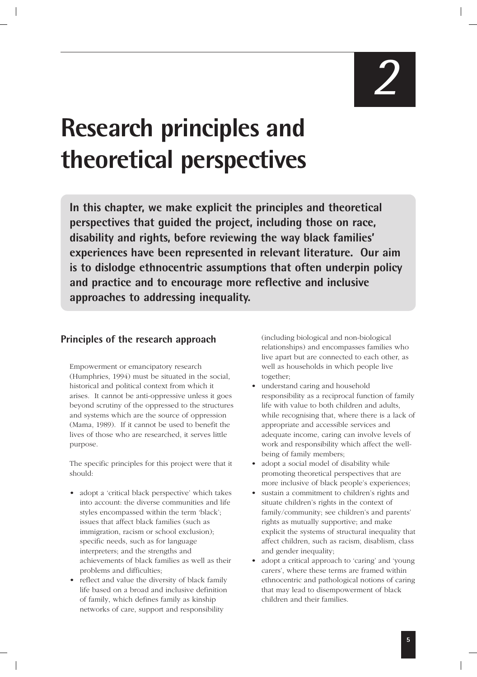# **Research principles and theoretical perspectives**

**In this chapter, we make explicit the principles and theoretical perspectives that guided the project, including those on race, disability and rights, before reviewing the way black families' experiences have been represented in relevant literature. Our aim is to dislodge ethnocentric assumptions that often underpin policy and practice and to encourage more reflective and inclusive approaches to addressing inequality.**

### **Principles of the research approach**

Empowerment or emancipatory research (Humphries, 1994) must be situated in the social, historical and political context from which it arises. It cannot be anti-oppressive unless it goes beyond scrutiny of the oppressed to the structures and systems which are the source of oppression (Mama, 1989). If it cannot be used to benefit the lives of those who are researched, it serves little purpose.

The specific principles for this project were that it should:

- adopt a 'critical black perspective' which takes into account: the diverse communities and life styles encompassed within the term 'black'; issues that affect black families (such as immigration, racism or school exclusion); specific needs, such as for language interpreters; and the strengths and achievements of black families as well as their problems and difficulties;
- reflect and value the diversity of black family life based on a broad and inclusive definition of family, which defines family as kinship networks of care, support and responsibility

(including biological and non-biological relationships) and encompasses families who live apart but are connected to each other, as well as households in which people live together;

- understand caring and household responsibility as a reciprocal function of family life with value to both children and adults, while recognising that, where there is a lack of appropriate and accessible services and adequate income, caring can involve levels of work and responsibility which affect the wellbeing of family members;
- adopt a social model of disability while promoting theoretical perspectives that are more inclusive of black people's experiences;
- sustain a commitment to children's rights and situate children's rights in the context of family/community; see children's and parents' rights as mutually supportive; and make explicit the systems of structural inequality that affect children, such as racism, disablism, class and gender inequality;
- adopt a critical approach to 'caring' and 'young carers', where these terms are framed within ethnocentric and pathological notions of caring that may lead to disempowerment of black children and their families.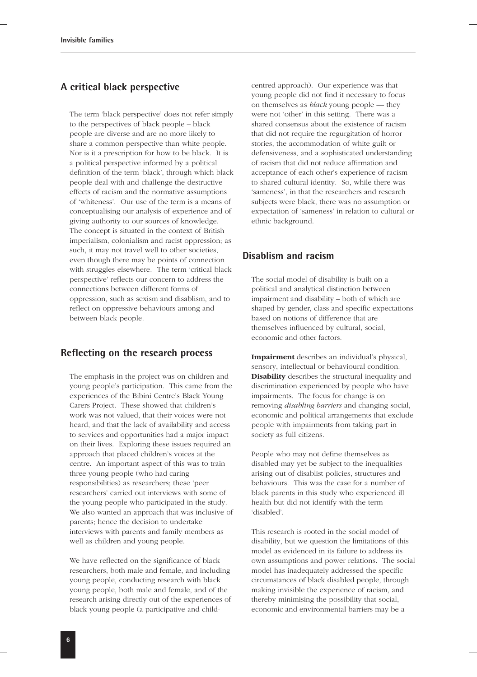### **A critical black perspective**

The term 'black perspective' does not refer simply to the perspectives of black people – black people are diverse and are no more likely to share a common perspective than white people. Nor is it a prescription for how to be black. It is a political perspective informed by a political definition of the term 'black', through which black people deal with and challenge the destructive effects of racism and the normative assumptions of 'whiteness'. Our use of the term is a means of conceptualising our analysis of experience and of giving authority to our sources of knowledge. The concept is situated in the context of British imperialism, colonialism and racist oppression; as such, it may not travel well to other societies, even though there may be points of connection with struggles elsewhere. The term 'critical black perspective' reflects our concern to address the connections between different forms of oppression, such as sexism and disablism, and to reflect on oppressive behaviours among and between black people.

### **Reflecting on the research process**

The emphasis in the project was on children and young people's participation. This came from the experiences of the Bibini Centre's Black Young Carers Project. These showed that children's work was not valued, that their voices were not heard, and that the lack of availability and access to services and opportunities had a major impact on their lives. Exploring these issues required an approach that placed children's voices at the centre. An important aspect of this was to train three young people (who had caring responsibilities) as researchers; these 'peer researchers' carried out interviews with some of the young people who participated in the study. We also wanted an approach that was inclusive of parents; hence the decision to undertake interviews with parents and family members as well as children and young people.

We have reflected on the significance of black researchers, both male and female, and including young people, conducting research with black young people, both male and female, and of the research arising directly out of the experiences of black young people (a participative and childcentred approach). Our experience was that young people did not find it necessary to focus on themselves as *black* young people — they were not 'other' in this setting. There was a shared consensus about the existence of racism that did not require the regurgitation of horror stories, the accommodation of white guilt or defensiveness, and a sophisticated understanding of racism that did not reduce affirmation and acceptance of each other's experience of racism to shared cultural identity. So, while there was 'sameness', in that the researchers and research subjects were black, there was no assumption or expectation of 'sameness' in relation to cultural or ethnic background.

### **Disablism and racism**

The social model of disability is built on a political and analytical distinction between impairment and disability – both of which are shaped by gender, class and specific expectations based on notions of difference that are themselves influenced by cultural, social, economic and other factors.

**Impairment** describes an individual's physical, sensory, intellectual or behavioural condition. **Disability** describes the structural inequality and discrimination experienced by people who have impairments. The focus for change is on removing *disabling barriers* and changing social, economic and political arrangements that exclude people with impairments from taking part in society as full citizens.

People who may not define themselves as disabled may yet be subject to the inequalities arising out of disablist policies, structures and behaviours. This was the case for a number of black parents in this study who experienced ill health but did not identify with the term 'disabled'.

This research is rooted in the social model of disability, but we question the limitations of this model as evidenced in its failure to address its own assumptions and power relations. The social model has inadequately addressed the specific circumstances of black disabled people, through making invisible the experience of racism, and thereby minimising the possibility that social, economic and environmental barriers may be a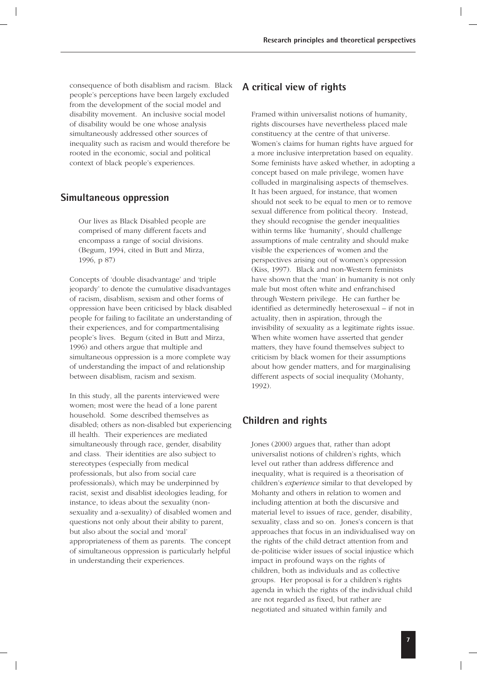consequence of both disablism and racism. Black people's perceptions have been largely excluded from the development of the social model and disability movement. An inclusive social model of disability would be one whose analysis simultaneously addressed other sources of inequality such as racism and would therefore be rooted in the economic, social and political context of black people's experiences.

### **Simultaneous oppression**

Our lives as Black Disabled people are comprised of many different facets and encompass a range of social divisions. (Begum, 1994, cited in Butt and Mirza, 1996, p 87)

Concepts of 'double disadvantage' and 'triple jeopardy' to denote the cumulative disadvantages of racism, disablism, sexism and other forms of oppression have been criticised by black disabled people for failing to facilitate an understanding of their experiences, and for compartmentalising people's lives. Begum (cited in Butt and Mirza, 1996) and others argue that multiple and simultaneous oppression is a more complete way of understanding the impact of and relationship between disablism, racism and sexism.

In this study, all the parents interviewed were women; most were the head of a lone parent household. Some described themselves as disabled; others as non-disabled but experiencing ill health. Their experiences are mediated simultaneously through race, gender, disability and class. Their identities are also subject to stereotypes (especially from medical professionals, but also from social care professionals), which may be underpinned by racist, sexist and disablist ideologies leading, for instance, to ideas about the sexuality (nonsexuality and a-sexuality) of disabled women and questions not only about their ability to parent, but also about the social and 'moral' appropriateness of them as parents. The concept of simultaneous oppression is particularly helpful in understanding their experiences.

### **A critical view of rights**

Framed within universalist notions of humanity, rights discourses have nevertheless placed male constituency at the centre of that universe. Women's claims for human rights have argued for a more inclusive interpretation based on equality. Some feminists have asked whether, in adopting a concept based on male privilege, women have colluded in marginalising aspects of themselves. It has been argued, for instance, that women should not seek to be equal to men or to remove sexual difference from political theory. Instead, they should recognise the gender inequalities within terms like 'humanity', should challenge assumptions of male centrality and should make visible the experiences of women and the perspectives arising out of women's oppression (Kiss, 1997). Black and non-Western feminists have shown that the 'man' in humanity is not only male but most often white and enfranchised through Western privilege. He can further be identified as determinedly heterosexual – if not in actuality, then in aspiration, through the invisibility of sexuality as a legitimate rights issue. When white women have asserted that gender matters, they have found themselves subject to criticism by black women for their assumptions about how gender matters, and for marginalising different aspects of social inequality (Mohanty, 1992).

### **Children and rights**

Jones (2000) argues that, rather than adopt universalist notions of children's rights, which level out rather than address difference and inequality, what is required is a theorisation of children's *experience* similar to that developed by Mohanty and others in relation to women and including attention at both the discursive and material level to issues of race, gender, disability, sexuality, class and so on. Jones's concern is that approaches that focus in an individualised way on the rights of the child detract attention from and de-politicise wider issues of social injustice which impact in profound ways on the rights of children, both as individuals and as collective groups. Her proposal is for a children's rights agenda in which the rights of the individual child are not regarded as fixed, but rather are negotiated and situated within family and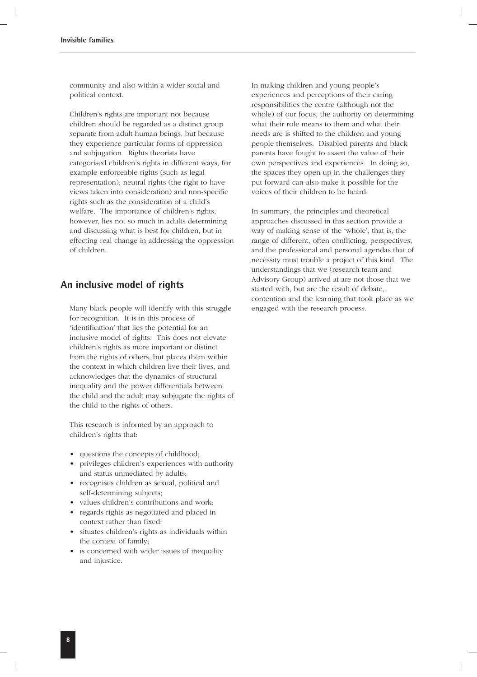community and also within a wider social and political context.

Children's rights are important not because children should be regarded as a distinct group separate from adult human beings, but because they experience particular forms of oppression and subjugation. Rights theorists have categorised children's rights in different ways, for example enforceable rights (such as legal representation); neutral rights (the right to have views taken into consideration) and non-specific rights such as the consideration of a child's welfare. The importance of children's rights, however, lies not so much in adults determining and discussing what is best for children, but in effecting real change in addressing the oppression of children.

### **An inclusive model of rights**

Many black people will identify with this struggle for recognition. It is in this process of 'identification' that lies the potential for an inclusive model of rights. This does not elevate children's rights as more important or distinct from the rights of others, but places them within the context in which children live their lives, and acknowledges that the dynamics of structural inequality and the power differentials between the child and the adult may subjugate the rights of the child to the rights of others.

This research is informed by an approach to children's rights that:

- questions the concepts of childhood;
- privileges children's experiences with authority and status unmediated by adults;
- recognises children as sexual, political and self-determining subjects;
- values children's contributions and work;
- regards rights as negotiated and placed in context rather than fixed;
- situates children's rights as individuals within the context of family;
- is concerned with wider issues of inequality and injustice.

In making children and young people's experiences and perceptions of their caring responsibilities the centre (although not the whole) of our focus, the authority on determining what their role means to them and what their needs are is shifted to the children and young people themselves. Disabled parents and black parents have fought to assert the value of their own perspectives and experiences. In doing so, the spaces they open up in the challenges they put forward can also make it possible for the voices of their children to be heard.

In summary, the principles and theoretical approaches discussed in this section provide a way of making sense of the 'whole', that is, the range of different, often conflicting, perspectives, and the professional and personal agendas that of necessity must trouble a project of this kind. The understandings that we (research team and Advisory Group) arrived at are not those that we started with, but are the result of debate, contention and the learning that took place as we engaged with the research process.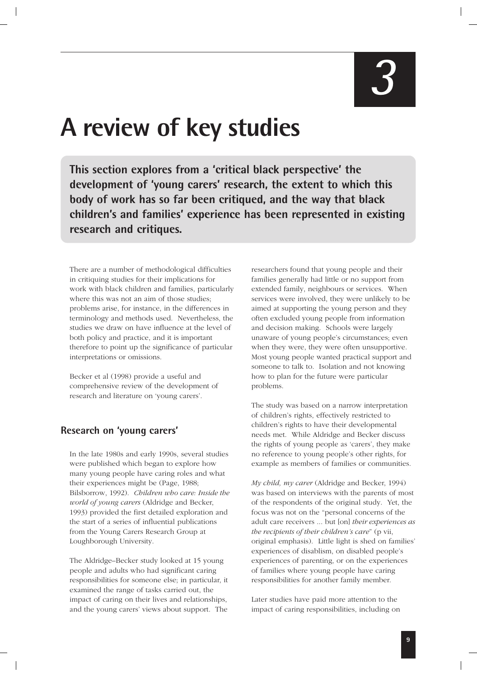### **A review of key studies**

**This section explores from a 'critical black perspective' the development of 'young carers' research, the extent to which this body of work has so far been critiqued, and the way that black children's and families' experience has been represented in existing research and critiques.**

There are a number of methodological difficulties in critiquing studies for their implications for work with black children and families, particularly where this was not an aim of those studies; problems arise, for instance, in the differences in terminology and methods used. Nevertheless, the studies we draw on have influence at the level of both policy and practice, and it is important therefore to point up the significance of particular interpretations or omissions.

Becker et al (1998) provide a useful and comprehensive review of the development of research and literature on 'young carers'.

### **Research on 'young carers'**

In the late 1980s and early 1990s, several studies were published which began to explore how many young people have caring roles and what their experiences might be (Page, 1988; Bilsborrow, 1992). *Children who care: Inside the world of young carers* (Aldridge and Becker, 1993) provided the first detailed exploration and the start of a series of influential publications from the Young Carers Research Group at Loughborough University.

The Aldridge–Becker study looked at 15 young people and adults who had significant caring responsibilities for someone else; in particular, it examined the range of tasks carried out, the impact of caring on their lives and relationships, and the young carers' views about support. The

researchers found that young people and their families generally had little or no support from extended family, neighbours or services. When services were involved, they were unlikely to be aimed at supporting the young person and they often excluded young people from information and decision making. Schools were largely unaware of young people's circumstances; even when they were, they were often unsupportive. Most young people wanted practical support and someone to talk to. Isolation and not knowing how to plan for the future were particular problems.

The study was based on a narrow interpretation of children's rights, effectively restricted to children's rights to have their developmental needs met. While Aldridge and Becker discuss the rights of young people as 'carers', they make no reference to young people's other rights, for example as members of families or communities.

*My child, my carer* (Aldridge and Becker, 1994) was based on interviews with the parents of most of the respondents of the original study. Yet, the focus was not on the "personal concerns of the adult care receivers ... but [on] *their experiences as the recipients of their children's care*" (p vii, original emphasis). Little light is shed on families' experiences of disablism, on disabled people's experiences of parenting, or on the experiences of families where young people have caring responsibilities for another family member.

Later studies have paid more attention to the impact of caring responsibilities, including on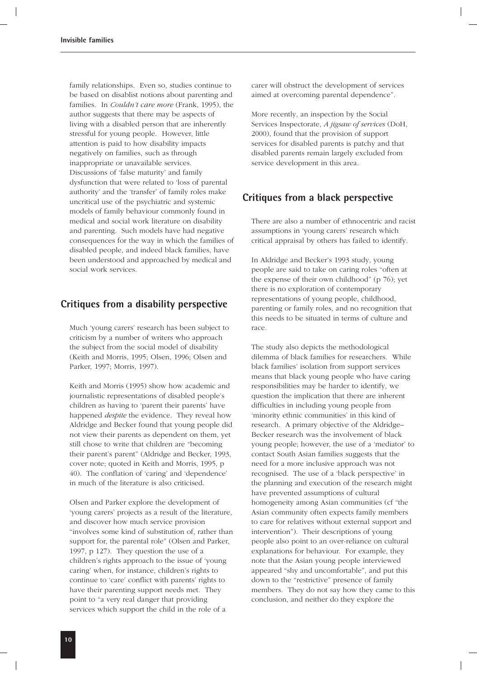family relationships. Even so, studies continue to be based on disablist notions about parenting and families. In *Couldn't care more* (Frank, 1995), the author suggests that there may be aspects of living with a disabled person that are inherently stressful for young people. However, little attention is paid to how disability impacts negatively on families, such as through inappropriate or unavailable services. Discussions of 'false maturity' and family dysfunction that were related to 'loss of parental authority' and the 'transfer' of family roles make uncritical use of the psychiatric and systemic models of family behaviour commonly found in medical and social work literature on disability and parenting. Such models have had negative consequences for the way in which the families of disabled people, and indeed black families, have been understood and approached by medical and social work services.

### **Critiques from a disability perspective**

Much 'young carers' research has been subject to criticism by a number of writers who approach the subject from the social model of disability (Keith and Morris, 1995; Olsen, 1996; Olsen and Parker, 1997; Morris, 1997).

Keith and Morris (1995) show how academic and journalistic representations of disabled people's children as having to 'parent their parents' have happened *despite* the evidence. They reveal how Aldridge and Becker found that young people did not view their parents as dependent on them, yet still chose to write that children are "becoming their parent's parent" (Aldridge and Becker, 1993, cover note; quoted in Keith and Morris, 1995, p 40). The conflation of 'caring' and 'dependence' in much of the literature is also criticised.

Olsen and Parker explore the development of 'young carers' projects as a result of the literature, and discover how much service provision "involves some kind of substitution of, rather than support for, the parental role" (Olsen and Parker, 1997, p 127). They question the use of a children's rights approach to the issue of 'young caring' when, for instance, children's rights to continue to 'care' conflict with parents' rights to have their parenting support needs met. They point to "a very real danger that providing services which support the child in the role of a

carer will obstruct the development of services aimed at overcoming parental dependence".

More recently, an inspection by the Social Services Inspectorate, *A jigsaw of services* (DoH, 2000), found that the provision of support services for disabled parents is patchy and that disabled parents remain largely excluded from service development in this area.

### **Critiques from a black perspective**

There are also a number of ethnocentric and racist assumptions in 'young carers' research which critical appraisal by others has failed to identify.

In Aldridge and Becker's 1993 study, young people are said to take on caring roles "often at the expense of their own childhood" ( $p$  76); yet there is no exploration of contemporary representations of young people, childhood, parenting or family roles, and no recognition that this needs to be situated in terms of culture and race.

The study also depicts the methodological dilemma of black families for researchers. While black families' isolation from support services means that black young people who have caring responsibilities may be harder to identify, we question the implication that there are inherent difficulties in including young people from 'minority ethnic communities' in this kind of research. A primary objective of the Aldridge– Becker research was the involvement of black young people; however, the use of a 'mediator' to contact South Asian families suggests that the need for a more inclusive approach was not recognised. The use of a 'black perspective' in the planning and execution of the research might have prevented assumptions of cultural homogeneity among Asian communities (cf "the Asian community often expects family members to care for relatives without external support and intervention"). Their descriptions of young people also point to an over-reliance on cultural explanations for behaviour. For example, they note that the Asian young people interviewed appeared "shy and uncomfortable", and put this down to the "restrictive" presence of family members. They do not say how they came to this conclusion, and neither do they explore the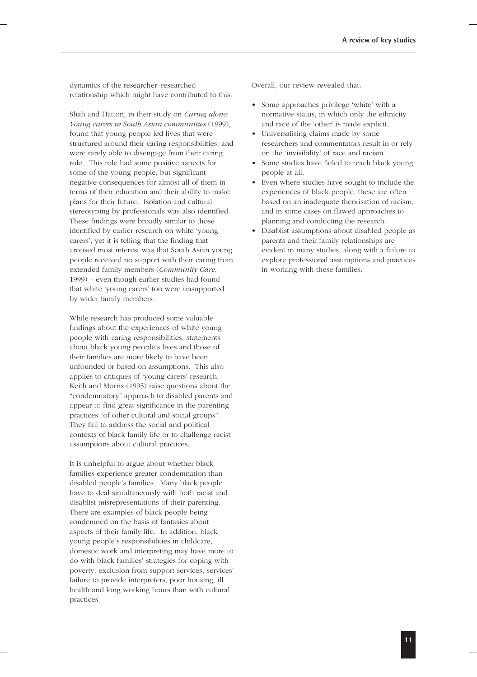dynamics of the researcher–researched relationship which might have contributed to this.

Shah and Hatton, in their study on *Caring alone: Young carers in South Asian communities* (1999), found that young people led lives that were structured around their caring responsibilities, and were rarely able to disengage from their caring role. This role had some positive aspects for some of the young people, but significant negative consequences for almost all of them in terms of their education and their ability to make plans for their future. Isolation and cultural stereotyping by professionals was also identified. These findings were broadly similar to those identified by earlier research on white 'young carers', yet it is telling that the finding that aroused most interest was that South Asian young people received no support with their caring from extended family members (*Community Care*, 1999) – even though earlier studies had found that white 'young carers' too were unsupported by wider family members.

While research has produced some valuable findings about the experiences of white young people with caring responsibilities, statements about black young people's lives and those of their families are more likely to have been unfounded or based on assumptions. This also applies to critiques of 'young carers' research. Keith and Morris (1995) raise questions about the "condemnatory" approach to disabled parents and appear to find great significance in the parenting practices "of other cultural and social groups". They fail to address the social and political contexts of black family life or to challenge racist assumptions about cultural practices.

It is unhelpful to argue about whether black families experience greater condemnation than disabled people's families. Many black people have to deal simultaneously with both racist and disablist misrepresentations of their parenting. There are examples of black people being condemned on the basis of fantasies about aspects of their family life. In addition, black young people's responsibilities in childcare, domestic work and interpreting may have more to do with black families' strategies for coping with poverty, exclusion from support services, services' failure to provide interpreters, poor housing, ill health and long working hours than with cultural practices.

Overall, our review revealed that:

- Some approaches privilege 'white' with a normative status, in which only the ethnicity and race of the 'other' is made explicit.
- Universalising claims made by some researchers and commentators result in or rely on the 'invisibility' of race and racism.
- Some studies have failed to reach black young people at all.
- Even where studies have sought to include the experiences of black people, these are often based on an inadequate theorisation of racism, and in some cases on flawed approaches to planning and conducting the research.
- Disablist assumptions about disabled people as parents and their family relationships are evident in many studies, along with a failure to explore professional assumptions and practices in working with these families.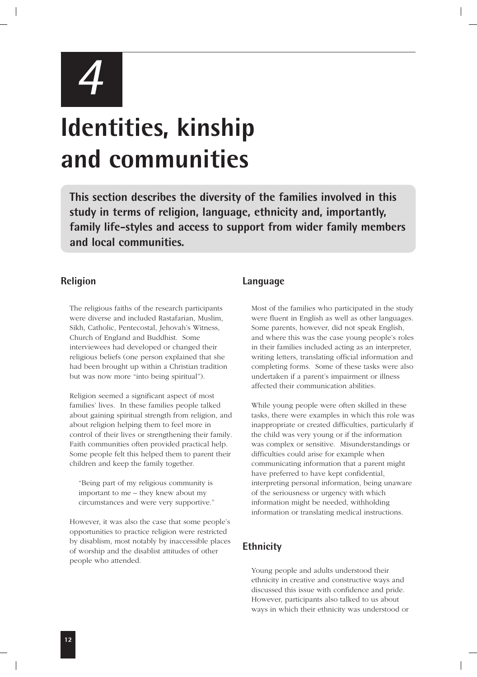

# **Identities, kinship and communities**

**This section describes the diversity of the families involved in this study in terms of religion, language, ethnicity and, importantly, family life-styles and access to support from wider family members and local communities.**

### **Religion**

The religious faiths of the research participants were diverse and included Rastafarian, Muslim, Sikh, Catholic, Pentecostal, Jehovah's Witness, Church of England and Buddhist. Some interviewees had developed or changed their religious beliefs (one person explained that she had been brought up within a Christian tradition but was now more "into being spiritual").

Religion seemed a significant aspect of most families' lives. In these families people talked about gaining spiritual strength from religion, and about religion helping them to feel more in control of their lives or strengthening their family. Faith communities often provided practical help. Some people felt this helped them to parent their children and keep the family together.

"Being part of my religious community is important to me – they knew about my circumstances and were very supportive."

However, it was also the case that some people's opportunities to practice religion were restricted by disablism, most notably by inaccessible places of worship and the disablist attitudes of other people who attended.

### **Language**

Most of the families who participated in the study were fluent in English as well as other languages. Some parents, however, did not speak English, and where this was the case young people's roles in their families included acting as an interpreter, writing letters, translating official information and completing forms. Some of these tasks were also undertaken if a parent's impairment or illness affected their communication abilities.

While young people were often skilled in these tasks, there were examples in which this role was inappropriate or created difficulties, particularly if the child was very young or if the information was complex or sensitive. Misunderstandings or difficulties could arise for example when communicating information that a parent might have preferred to have kept confidential, interpreting personal information, being unaware of the seriousness or urgency with which information might be needed, withholding information or translating medical instructions.

### **Ethnicity**

Young people and adults understood their ethnicity in creative and constructive ways and discussed this issue with confidence and pride. However, participants also talked to us about ways in which their ethnicity was understood or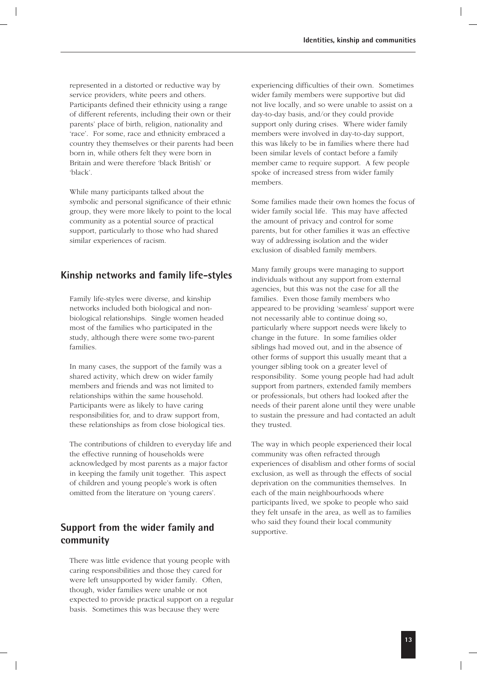represented in a distorted or reductive way by service providers, white peers and others. Participants defined their ethnicity using a range of different referents, including their own or their parents' place of birth, religion, nationality and 'race'. For some, race and ethnicity embraced a country they themselves or their parents had been born in, while others felt they were born in Britain and were therefore 'black British' or 'black'.

While many participants talked about the symbolic and personal significance of their ethnic group, they were more likely to point to the local community as a potential source of practical support, particularly to those who had shared similar experiences of racism.

### **Kinship networks and family life-styles**

Family life-styles were diverse, and kinship networks included both biological and nonbiological relationships. Single women headed most of the families who participated in the study, although there were some two-parent families.

In many cases, the support of the family was a shared activity, which drew on wider family members and friends and was not limited to relationships within the same household. Participants were as likely to have caring responsibilities for, and to draw support from, these relationships as from close biological ties.

The contributions of children to everyday life and the effective running of households were acknowledged by most parents as a major factor in keeping the family unit together. This aspect of children and young people's work is often omitted from the literature on 'young carers'.

### **Support from the wider family and community**

There was little evidence that young people with caring responsibilities and those they cared for were left unsupported by wider family. Often, though, wider families were unable or not expected to provide practical support on a regular basis. Sometimes this was because they were

experiencing difficulties of their own. Sometimes wider family members were supportive but did not live locally, and so were unable to assist on a day-to-day basis, and/or they could provide support only during crises. Where wider family members were involved in day-to-day support, this was likely to be in families where there had been similar levels of contact before a family member came to require support. A few people spoke of increased stress from wider family members.

Some families made their own homes the focus of wider family social life. This may have affected the amount of privacy and control for some parents, but for other families it was an effective way of addressing isolation and the wider exclusion of disabled family members.

Many family groups were managing to support individuals without any support from external agencies, but this was not the case for all the families. Even those family members who appeared to be providing 'seamless' support were not necessarily able to continue doing so, particularly where support needs were likely to change in the future. In some families older siblings had moved out, and in the absence of other forms of support this usually meant that a younger sibling took on a greater level of responsibility. Some young people had had adult support from partners, extended family members or professionals, but others had looked after the needs of their parent alone until they were unable to sustain the pressure and had contacted an adult they trusted.

The way in which people experienced their local community was often refracted through experiences of disablism and other forms of social exclusion, as well as through the effects of social deprivation on the communities themselves. In each of the main neighbourhoods where participants lived, we spoke to people who said they felt unsafe in the area, as well as to families who said they found their local community supportive.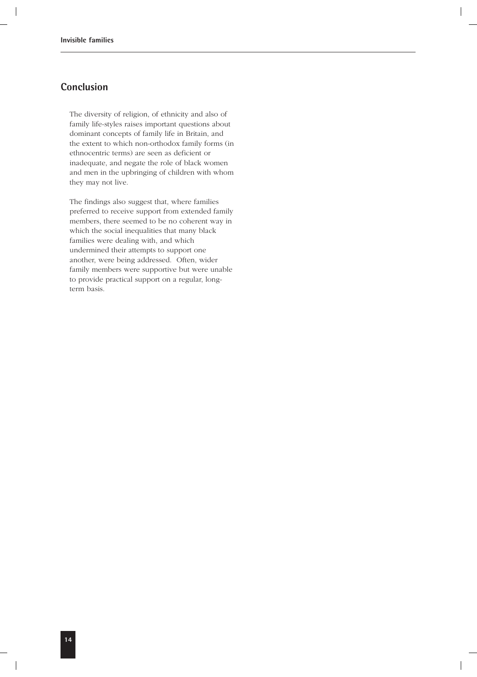### **Conclusion**

The diversity of religion, of ethnicity and also of family life-styles raises important questions about dominant concepts of family life in Britain, and the extent to which non-orthodox family forms (in ethnocentric terms) are seen as deficient or inadequate, and negate the role of black women and men in the upbringing of children with whom they may not live.

The findings also suggest that, where families preferred to receive support from extended family members, there seemed to be no coherent way in which the social inequalities that many black families were dealing with, and which undermined their attempts to support one another, were being addressed. Often, wider family members were supportive but were unable to provide practical support on a regular, longterm basis.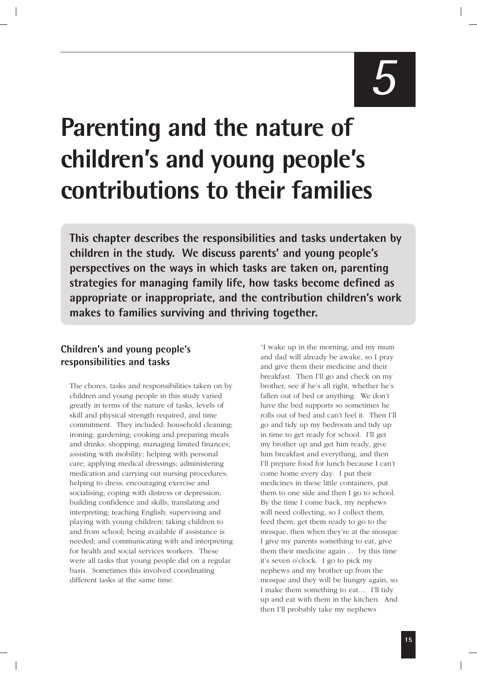# *5*

# **Parenting and the nature of children's and young people's contributions to their families**

**This chapter describes the responsibilities and tasks undertaken by children in the study. We discuss parents' and young people's perspectives on the ways in which tasks are taken on, parenting strategies for managing family life, how tasks become defined as appropriate or inappropriate, and the contribution children's work makes to families surviving and thriving together.**

### **Children's and young people's responsibilities and tasks**

The chores, tasks and responsibilities taken on by children and young people in this study varied greatly in terms of the nature of tasks, levels of skill and physical strength required, and time commitment. They included: household cleaning; ironing; gardening; cooking and preparing meals and drinks; shopping; managing limited finances; assisting with mobility; helping with personal care; applying medical dressings; administering medication and carrying out nursing procedures; helping to dress; encouraging exercise and socialising; coping with distress or depression; building confidence and skills; translating and interpreting; teaching English; supervising and playing with young children; taking children to and from school; being available if assistance is needed; and communicating with and interpreting for health and social services workers. These were all tasks that young people did on a regular basis. Sometimes this involved coordinating different tasks at the same time.

"I wake up in the morning, and my mum and dad will already be awake, so I pray and give them their medicine and their breakfast. Then I'll go and check on my brother, see if he's all right, whether he's fallen out of bed or anything. We don't have the bed supports so sometimes he rolls out of bed and can't feel it. Then I'll go and tidy up my bedroom and tidy up in time to get ready for school. I'll get my brother up and get him ready, give him breakfast and everything, and then I'll prepare food for lunch because I can't come home every day. I put their medicines in these little containers, put them to one side and then I go to school. By the time I come back, my nephews will need collecting, so I collect them, feed them, get them ready to go to the mosque, then when they're at the mosque I give my parents something to eat, give them their medicine again ... by this time it's seven o'clock. I go to pick my nephews and my brother up from the mosque and they will be hungry again, so I make them something to eat.... I'll tidy up and eat with them in the kitchen. And then I'll probably take my nephews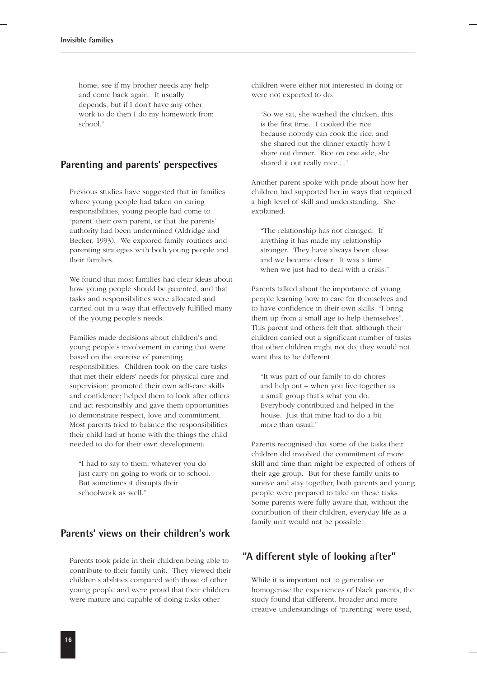home, see if my brother needs any help and come back again. It usually depends, but if I don't have any other work to do then I do my homework from school."

### **Parenting and parents' perspectives**

Previous studies have suggested that in families where young people had taken on caring responsibilities, young people had come to 'parent' their own parent, or that the parents' authority had been undermined (Aldridge and Becker, 1993). We explored family routines and parenting strategies with both young people and their families.

We found that most families had clear ideas about how young people should be parented, and that tasks and responsibilities were allocated and carried out in a way that effectively fulfilled many of the young people's needs.

Families made decisions about children's and young people's involvement in caring that were based on the exercise of parenting responsibilities. Children took on the care tasks that met their elders' needs for physical care and supervision; promoted their own self-care skills and confidence; helped them to look after others and act responsibly and gave them opportunities to demonstrate respect, love and commitment. Most parents tried to balance the responsibilities their child had at home with the things the child needed to do for their own development:

"I had to say to them, whatever you do just carry on going to work or to school. But sometimes it disrupts their schoolwork as well."

### **Parents' views on their children's work**

Parents took pride in their children being able to contribute to their family unit. They viewed their children's abilities compared with those of other young people and were proud that their children were mature and capable of doing tasks other

children were either not interested in doing or were not expected to do.

"So we sat, she washed the chicken, this is the first time. I cooked the rice because nobody can cook the rice, and she shared out the dinner exactly how I share out dinner. Rice on one side, she shared it out really nice...."

Another parent spoke with pride about how her children had supported her in ways that required a high level of skill and understanding. She explained:

"The relationship has not changed. If anything it has made my relationship stronger. They have always been close and we became closer. It was a time when we just had to deal with a crisis."

Parents talked about the importance of young people learning how to care for themselves and to have confidence in their own skills: "I bring them up from a small age to help themselves". This parent and others felt that, although their children carried out a significant number of tasks that other children might not do, they would not want this to be different:

"It was part of our family to do chores and help out – when you live together as a small group that's what you do. Everybody contributed and helped in the house. Just that mine had to do a bit more than usual."

Parents recognised that some of the tasks their children did involved the commitment of more skill and time than might be expected of others of their age group. But for these family units to survive and stay together, both parents and young people were prepared to take on these tasks. Some parents were fully aware that, without the contribution of their children, everyday life as a family unit would not be possible.

### **"A different style of looking after"**

While it is important not to generalise or homogenise the experiences of black parents, the study found that different, broader and more creative understandings of 'parenting' were used,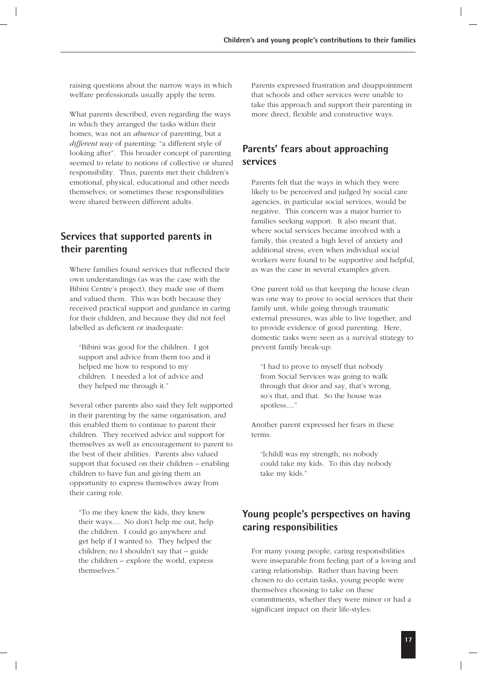raising questions about the narrow ways in which welfare professionals usually apply the term.

What parents described, even regarding the ways in which they arranged the tasks within their homes, was not an *absence* of parenting, but a *different way* of parenting: "a different style of looking after"*.* This broader concept of parenting seemed to relate to notions of collective or shared responsibility. Thus, parents met their children's emotional, physical, educational and other needs themselves; or sometimes these responsibilities were shared between different adults.

### **Services that supported parents in their parenting**

Where families found services that reflected their own understandings (as was the case with the Bibini Centre's project), they made use of them and valued them. This was both because they received practical support and guidance in caring for their children, and because they did not feel labelled as deficient or inadequate:

"Bibini was good for the children. I got support and advice from them too and it helped me how to respond to my children. I needed a lot of advice and they helped me through it."

Several other parents also said they felt supported in their parenting by the same organisation, and this enabled them to continue to parent their children. They received advice and support for themselves as well as encouragement to parent to the best of their abilities. Parents also valued support that focused on their children – enabling children to have fun and giving them an opportunity to express themselves away from their caring role.

"To me they knew the kids, they knew their ways.... No don't help me out, help the children. I could go anywhere and get help if I wanted to. They helped the children; no I shouldn't say that – guide the children – explore the world, express themselves."

Parents expressed frustration and disappointment that schools and other services were unable to take this approach and support their parenting in more direct, flexible and constructive ways.

### **Parents' fears about approaching services**

Parents felt that the ways in which they were likely to be perceived and judged by social care agencies, in particular social services, would be negative. This concern was a major barrier to families seeking support. It also meant that, where social services became involved with a family, this created a high level of anxiety and additional stress, even when individual social workers were found to be supportive and helpful, as was the case in several examples given.

One parent told us that keeping the house clean was one way to prove to social services that their family unit, while going through traumatic external pressures, was able to live together, and to provide evidence of good parenting. Here, domestic tasks were seen as a survival strategy to prevent family break-up:

"I had to prove to myself that nobody from Social Services was going to walk through that door and say, that's wrong, so's that, and that. So the house was spotless...."

Another parent expressed her fears in these terms:

"[child] was my strength, no nobody could take my kids. To this day nobody take my kids."

### **Young people's perspectives on having caring responsibilities**

For many young people, caring responsibilities were inseparable from feeling part of a loving and caring relationship. Rather than having been chosen to do certain tasks, young people were themselves choosing to take on these commitments, whether they were minor or had a significant impact on their life-styles: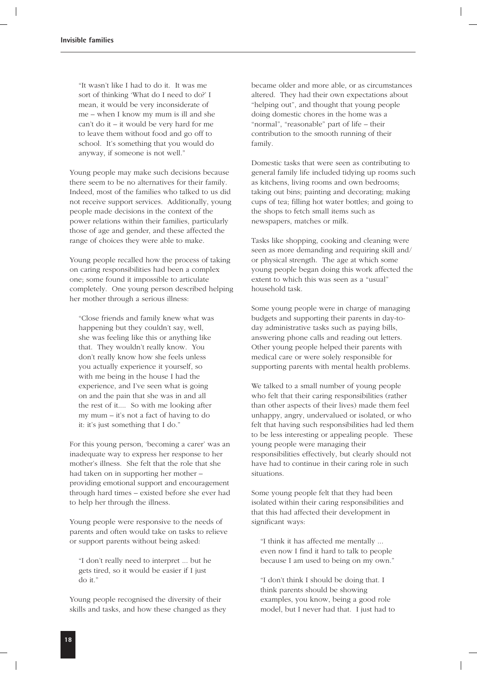"It wasn't like I had to do it. It was me sort of thinking 'What do I need to do?' I mean, it would be very inconsiderate of me – when I know my mum is ill and she can't do it – it would be very hard for me to leave them without food and go off to school. It's something that you would do anyway, if someone is not well."

Young people may make such decisions because there seem to be no alternatives for their family. Indeed, most of the families who talked to us did not receive support services. Additionally, young people made decisions in the context of the power relations within their families, particularly those of age and gender, and these affected the range of choices they were able to make.

Young people recalled how the process of taking on caring responsibilities had been a complex one; some found it impossible to articulate completely. One young person described helping her mother through a serious illness:

"Close friends and family knew what was happening but they couldn't say, well, she was feeling like this or anything like that. They wouldn't really know. You don't really know how she feels unless you actually experience it yourself, so with me being in the house I had the experience, and I've seen what is going on and the pain that she was in and all the rest of it.... So with me looking after my mum – it's not a fact of having to do it: it's just something that I do."

For this young person, 'becoming a carer' was an inadequate way to express her response to her mother's illness. She felt that the role that she had taken on in supporting her mother – providing emotional support and encouragement through hard times – existed before she ever had to help her through the illness.

Young people were responsive to the needs of parents and often would take on tasks to relieve or support parents without being asked:

"I don't really need to interpret ... but he gets tired, so it would be easier if I just do it."

Young people recognised the diversity of their skills and tasks, and how these changed as they became older and more able, or as circumstances altered. They had their own expectations about "helping out", and thought that young people doing domestic chores in the home was a "normal", "reasonable" part of life – their contribution to the smooth running of their family.

Domestic tasks that were seen as contributing to general family life included tidying up rooms such as kitchens, living rooms and own bedrooms; taking out bins; painting and decorating; making cups of tea; filling hot water bottles; and going to the shops to fetch small items such as newspapers, matches or milk.

Tasks like shopping, cooking and cleaning were seen as more demanding and requiring skill and/ or physical strength. The age at which some young people began doing this work affected the extent to which this was seen as a "usual" household task.

Some young people were in charge of managing budgets and supporting their parents in day-today administrative tasks such as paying bills, answering phone calls and reading out letters. Other young people helped their parents with medical care or were solely responsible for supporting parents with mental health problems.

We talked to a small number of young people who felt that their caring responsibilities (rather than other aspects of their lives) made them feel unhappy, angry, undervalued or isolated, or who felt that having such responsibilities had led them to be less interesting or appealing people. These young people were managing their responsibilities effectively, but clearly should not have had to continue in their caring role in such situations.

Some young people felt that they had been isolated within their caring responsibilities and that this had affected their development in significant ways:

"I think it has affected me mentally ... even now I find it hard to talk to people because I am used to being on my own."

"I don't think I should be doing that. I think parents should be showing examples, you know, being a good role model, but I never had that. I just had to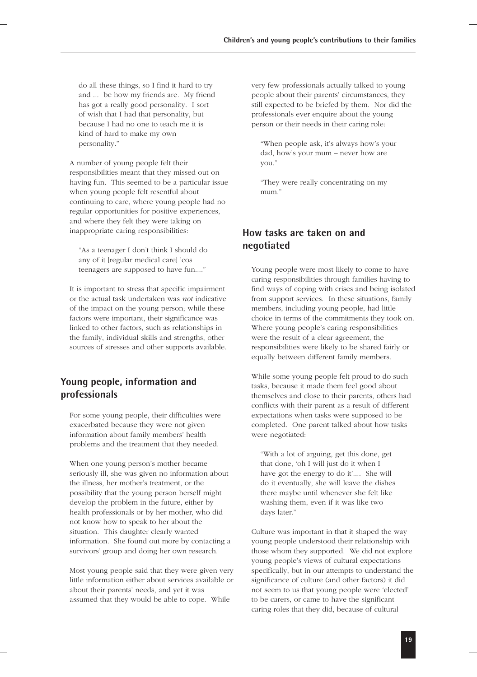do all these things, so I find it hard to try and ... be how my friends are. My friend has got a really good personality. I sort of wish that I had that personality, but because I had no one to teach me it is kind of hard to make my own personality."

A number of young people felt their responsibilities meant that they missed out on having fun. This seemed to be a particular issue when young people felt resentful about continuing to care, where young people had no regular opportunities for positive experiences, and where they felt they were taking on inappropriate caring responsibilities:

"As a teenager I don't think I should do any of it [regular medical care] 'cos teenagers are supposed to have fun...."

It is important to stress that specific impairment or the actual task undertaken was *not* indicative of the impact on the young person; while these factors were important, their significance was linked to other factors, such as relationships in the family, individual skills and strengths, other sources of stresses and other supports available.

### **Young people, information and professionals**

For some young people, their difficulties were exacerbated because they were not given information about family members' health problems and the treatment that they needed.

When one young person's mother became seriously ill, she was given no information about the illness, her mother's treatment, or the possibility that the young person herself might develop the problem in the future, either by health professionals or by her mother, who did not know how to speak to her about the situation. This daughter clearly wanted information. She found out more by contacting a survivors' group and doing her own research.

Most young people said that they were given very little information either about services available or about their parents' needs, and yet it was assumed that they would be able to cope. While

very few professionals actually talked to young people about their parents' circumstances, they still expected to be briefed by them. Nor did the professionals ever enquire about the young person or their needs in their caring role:

"When people ask, it's always how's your dad, how's your mum – never how are you."

"They were really concentrating on my mum."

### **How tasks are taken on and negotiated**

Young people were most likely to come to have caring responsibilities through families having to find ways of coping with crises and being isolated from support services. In these situations, family members, including young people, had little choice in terms of the commitments they took on. Where young people's caring responsibilities were the result of a clear agreement, the responsibilities were likely to be shared fairly or equally between different family members.

While some young people felt proud to do such tasks, because it made them feel good about themselves and close to their parents, others had conflicts with their parent as a result of different expectations when tasks were supposed to be completed. One parent talked about how tasks were negotiated:

"With a lot of arguing, get this done, get that done, 'oh I will just do it when I have got the energy to do it'.... She will do it eventually, she will leave the dishes there maybe until whenever she felt like washing them, even if it was like two days later."

Culture was important in that it shaped the way young people understood their relationship with those whom they supported. We did not explore young people's views of cultural expectations specifically, but in our attempts to understand the significance of culture (and other factors) it did not seem to us that young people were 'elected' to be carers, or came to have the significant caring roles that they did, because of cultural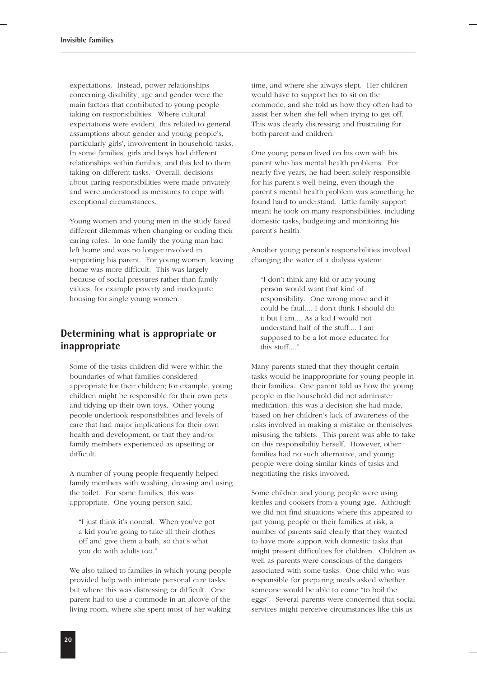expectations. Instead, power relationships concerning disability, age and gender were the main factors that contributed to young people taking on responsibilities. Where cultural expectations were evident, this related to general assumptions about gender and young people's, particularly girls', involvement in household tasks. In some families, girls and boys had different relationships within families, and this led to them taking on different tasks. Overall, decisions about caring responsibilities were made privately and were understood as measures to cope with exceptional circumstances.

Young women and young men in the study faced different dilemmas when changing or ending their caring roles. In one family the young man had left home and was no longer involved in supporting his parent. For young women, leaving home was more difficult. This was largely because of social pressures rather than family values, for example poverty and inadequate housing for single young women.

### **Determining what is appropriate or inappropriate**

Some of the tasks children did were within the boundaries of what families considered appropriate for their children; for example, young children might be responsible for their own pets and tidying up their own toys. Other young people undertook responsibilities and levels of care that had major implications for their own health and development, or that they and/or family members experienced as upsetting or difficult.

A number of young people frequently helped family members with washing, dressing and using the toilet. For some families, this was appropriate. One young person said,

"I just think it's normal. When you've got a kid you're going to take all their clothes off and give them a bath, so that's what you do with adults too."

We also talked to families in which young people provided help with intimate personal care tasks but where this was distressing or difficult. One parent had to use a commode in an alcove of the living room, where she spent most of her waking

time, and where she always slept. Her children would have to support her to sit on the commode, and she told us how they often had to assist her when she fell when trying to get off. This was clearly distressing and frustrating for both parent and children.

One young person lived on his own with his parent who has mental health problems. For nearly five years, he had been solely responsible for his parent's well-being, even though the parent's mental health problem was something he found hard to understand. Little family support meant he took on many responsibilities, including domestic tasks, budgeting and monitoring his parent's health.

Another young person's responsibilities involved changing the water of a dialysis system:

"I don't think any kid or any young person would want that kind of responsibility. One wrong move and it could be fatal.... I don't think I should do it but I am.... As a kid I would not understand half of the stuff.... I am supposed to be a lot more educated for this stuff...."

Many parents stated that they thought certain tasks would be inappropriate for young people in their families. One parent told us how the young people in the household did not administer medication: this was a decision she had made, based on her children's lack of awareness of the risks involved in making a mistake or themselves misusing the tablets. This parent was able to take on this responsibility herself. However, other families had no such alternative, and young people were doing similar kinds of tasks and negotiating the risks involved.

Some children and young people were using kettles and cookers from a young age. Although we did not find situations where this appeared to put young people or their families at risk, a number of parents said clearly that they wanted to have more support with domestic tasks that might present difficulties for children. Children as well as parents were conscious of the dangers associated with some tasks. One child who was responsible for preparing meals asked whether someone would be able to come "to boil the eggs". Several parents were concerned that social services might perceive circumstances like this as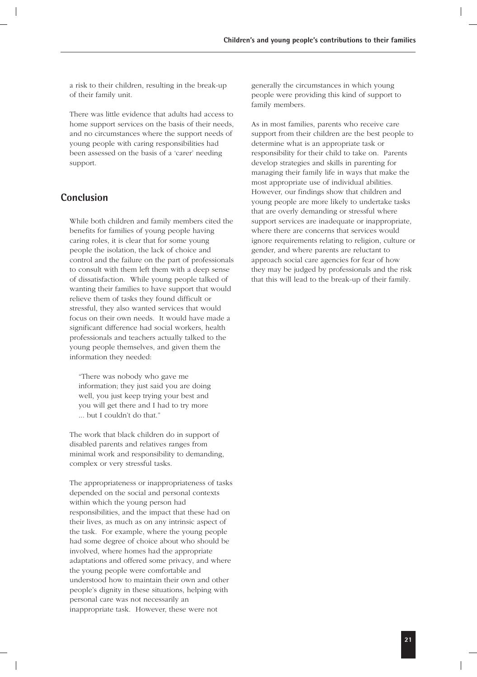a risk to their children, resulting in the break-up of their family unit.

There was little evidence that adults had access to home support services on the basis of their needs, and no circumstances where the support needs of young people with caring responsibilities had been assessed on the basis of a 'carer' needing support.

### **Conclusion**

While both children and family members cited the benefits for families of young people having caring roles, it is clear that for some young people the isolation, the lack of choice and control and the failure on the part of professionals to consult with them left them with a deep sense of dissatisfaction. While young people talked of wanting their families to have support that would relieve them of tasks they found difficult or stressful, they also wanted services that would focus on their own needs. It would have made a significant difference had social workers, health professionals and teachers actually talked to the young people themselves, and given them the information they needed:

"There was nobody who gave me information; they just said you are doing well, you just keep trying your best and you will get there and I had to try more ... but I couldn't do that."

The work that black children do in support of disabled parents and relatives ranges from minimal work and responsibility to demanding, complex or very stressful tasks.

The appropriateness or inappropriateness of tasks depended on the social and personal contexts within which the young person had responsibilities, and the impact that these had on their lives, as much as on any intrinsic aspect of the task. For example, where the young people had some degree of choice about who should be involved, where homes had the appropriate adaptations and offered some privacy, and where the young people were comfortable and understood how to maintain their own and other people's dignity in these situations, helping with personal care was not necessarily an inappropriate task. However, these were not

generally the circumstances in which young people were providing this kind of support to family members.

As in most families, parents who receive care support from their children are the best people to determine what is an appropriate task or responsibility for their child to take on. Parents develop strategies and skills in parenting for managing their family life in ways that make the most appropriate use of individual abilities. However, our findings show that children and young people are more likely to undertake tasks that are overly demanding or stressful where support services are inadequate or inappropriate, where there are concerns that services would ignore requirements relating to religion, culture or gender, and where parents are reluctant to approach social care agencies for fear of how they may be judged by professionals and the risk that this will lead to the break-up of their family.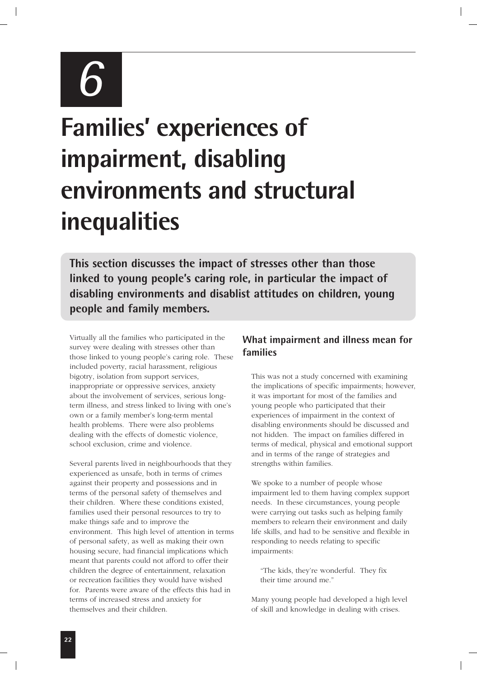

# **Families' experiences of impairment, disabling environments and structural inequalities**

**This section discusses the impact of stresses other than those linked to young people's caring role, in particular the impact of disabling environments and disablist attitudes on children, young people and family members.**

Virtually all the families who participated in the survey were dealing with stresses other than those linked to young people's caring role. These included poverty, racial harassment, religious bigotry, isolation from support services, inappropriate or oppressive services, anxiety about the involvement of services, serious longterm illness, and stress linked to living with one's own or a family member's long-term mental health problems. There were also problems dealing with the effects of domestic violence, school exclusion, crime and violence.

Several parents lived in neighbourhoods that they experienced as unsafe, both in terms of crimes against their property and possessions and in terms of the personal safety of themselves and their children. Where these conditions existed, families used their personal resources to try to make things safe and to improve the environment. This high level of attention in terms of personal safety, as well as making their own housing secure, had financial implications which meant that parents could not afford to offer their children the degree of entertainment, relaxation or recreation facilities they would have wished for. Parents were aware of the effects this had in terms of increased stress and anxiety for themselves and their children.

### **What impairment and illness mean for families**

This was not a study concerned with examining the implications of specific impairments; however, it was important for most of the families and young people who participated that their experiences of impairment in the context of disabling environments should be discussed and not hidden. The impact on families differed in terms of medical, physical and emotional support and in terms of the range of strategies and strengths within families.

We spoke to a number of people whose impairment led to them having complex support needs. In these circumstances, young people were carrying out tasks such as helping family members to relearn their environment and daily life skills, and had to be sensitive and flexible in responding to needs relating to specific impairments:

"The kids, they're wonderful. They fix their time around me."

Many young people had developed a high level of skill and knowledge in dealing with crises.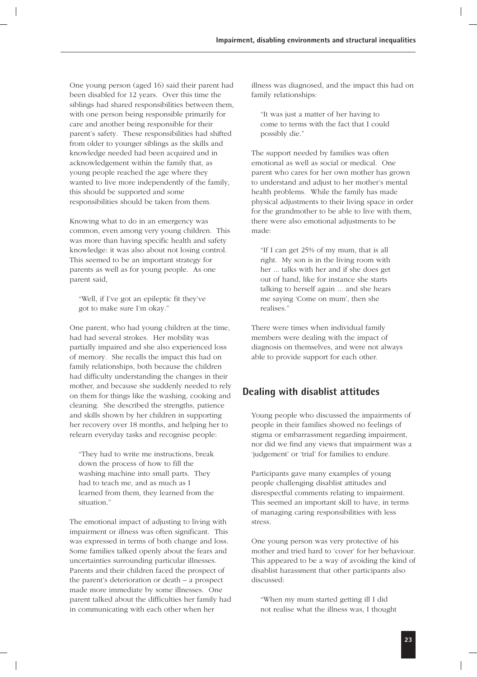One young person (aged 16) said their parent had been disabled for 12 years. Over this time the siblings had shared responsibilities between them, with one person being responsible primarily for care and another being responsible for their parent's safety. These responsibilities had shifted from older to younger siblings as the skills and knowledge needed had been acquired and in acknowledgement within the family that, as young people reached the age where they wanted to live more independently of the family, this should be supported and some responsibilities should be taken from them.

Knowing what to do in an emergency was common, even among very young children. This was more than having specific health and safety knowledge: it was also about not losing control. This seemed to be an important strategy for parents as well as for young people. As one parent said,

"Well, if I've got an epileptic fit they've got to make sure I'm okay."

One parent, who had young children at the time, had had several strokes. Her mobility was partially impaired and she also experienced loss of memory. She recalls the impact this had on family relationships, both because the children had difficulty understanding the changes in their mother, and because she suddenly needed to rely on them for things like the washing, cooking and cleaning. She described the strengths, patience and skills shown by her children in supporting her recovery over 18 months, and helping her to relearn everyday tasks and recognise people:

"They had to write me instructions, break down the process of how to fill the washing machine into small parts. They had to teach me, and as much as I learned from them, they learned from the situation."

The emotional impact of adjusting to living with impairment or illness was often significant. This was expressed in terms of both change and loss. Some families talked openly about the fears and uncertainties surrounding particular illnesses. Parents and their children faced the prospect of the parent's deterioration or death – a prospect made more immediate by some illnesses. One parent talked about the difficulties her family had in communicating with each other when her

illness was diagnosed, and the impact this had on family relationships:

"It was just a matter of her having to come to terms with the fact that I could possibly die."

The support needed by families was often emotional as well as social or medical. One parent who cares for her own mother has grown to understand and adjust to her mother's mental health problems. While the family has made physical adjustments to their living space in order for the grandmother to be able to live with them, there were also emotional adjustments to be made:

"If I can get 25% of my mum, that is all right. My son is in the living room with her ... talks with her and if she does get out of hand, like for instance she starts talking to herself again ... and she hears me saying 'Come on mum', then she realises."

There were times when individual family members were dealing with the impact of diagnosis on themselves, and were not always able to provide support for each other.

### **Dealing with disablist attitudes**

Young people who discussed the impairments of people in their families showed no feelings of stigma or embarrassment regarding impairment, nor did we find any views that impairment was a 'judgement' or 'trial' for families to endure.

Participants gave many examples of young people challenging disablist attitudes and disrespectful comments relating to impairment. This seemed an important skill to have, in terms of managing caring responsibilities with less stress.

One young person was very protective of his mother and tried hard to 'cover' for her behaviour. This appeared to be a way of avoiding the kind of disablist harassment that other participants also discussed:

"When my mum started getting ill I did not realise what the illness was, I thought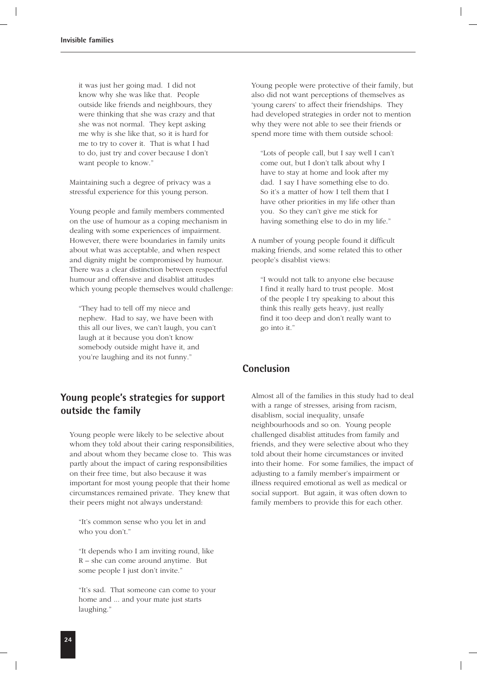it was just her going mad. I did not know why she was like that. People outside like friends and neighbours, they were thinking that she was crazy and that she was not normal. They kept asking me why is she like that, so it is hard for me to try to cover it. That is what I had to do, just try and cover because I don't want people to know."

Maintaining such a degree of privacy was a stressful experience for this young person.

Young people and family members commented on the use of humour as a coping mechanism in dealing with some experiences of impairment. However, there were boundaries in family units about what was acceptable, and when respect and dignity might be compromised by humour. There was a clear distinction between respectful humour and offensive and disablist attitudes which young people themselves would challenge:

"They had to tell off my niece and nephew. Had to say, we have been with this all our lives, we can't laugh, you can't laugh at it because you don't know somebody outside might have it, and you're laughing and its not funny."

### **Young people's strategies for support outside the family**

Young people were likely to be selective about whom they told about their caring responsibilities, and about whom they became close to. This was partly about the impact of caring responsibilities on their free time, but also because it was important for most young people that their home circumstances remained private. They knew that their peers might not always understand:

"It's common sense who you let in and who you don't."

"It depends who I am inviting round, like R – she can come around anytime. But some people I just don't invite."

"It's sad. That someone can come to your home and ... and your mate just starts laughing."

Young people were protective of their family, but also did not want perceptions of themselves as 'young carers' to affect their friendships. They had developed strategies in order not to mention why they were not able to see their friends or spend more time with them outside school:

"Lots of people call, but I say well I can't come out, but I don't talk about why I have to stay at home and look after my dad. I say I have something else to do. So it's a matter of how I tell them that I have other priorities in my life other than you. So they can't give me stick for having something else to do in my life."

A number of young people found it difficult making friends, and some related this to other people's disablist views:

"I would not talk to anyone else because I find it really hard to trust people. Most of the people I try speaking to about this think this really gets heavy, just really find it too deep and don't really want to go into it."

### **Conclusion**

Almost all of the families in this study had to deal with a range of stresses, arising from racism, disablism, social inequality, unsafe neighbourhoods and so on. Young people challenged disablist attitudes from family and friends, and they were selective about who they told about their home circumstances or invited into their home. For some families, the impact of adjusting to a family member's impairment or illness required emotional as well as medical or social support. But again, it was often down to family members to provide this for each other.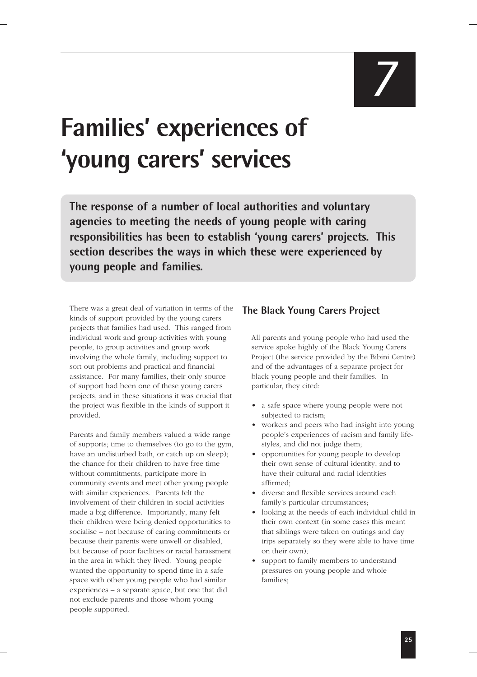*7*

## **Families' experiences of 'young carers' services**

**The response of a number of local authorities and voluntary agencies to meeting the needs of young people with caring responsibilities has been to establish 'young carers' projects. This section describes the ways in which these were experienced by young people and families.**

There was a great deal of variation in terms of the kinds of support provided by the young carers projects that families had used. This ranged from individual work and group activities with young people, to group activities and group work involving the whole family, including support to sort out problems and practical and financial assistance. For many families, their only source of support had been one of these young carers projects, and in these situations it was crucial that the project was flexible in the kinds of support it provided.

Parents and family members valued a wide range of supports; time to themselves (to go to the gym, have an undisturbed bath, or catch up on sleep); the chance for their children to have free time without commitments, participate more in community events and meet other young people with similar experiences. Parents felt the involvement of their children in social activities made a big difference. Importantly, many felt their children were being denied opportunities to socialise – not because of caring commitments or because their parents were unwell or disabled, but because of poor facilities or racial harassment in the area in which they lived. Young people wanted the opportunity to spend time in a safe space with other young people who had similar experiences – a separate space, but one that did not exclude parents and those whom young people supported.

### **The Black Young Carers Project**

All parents and young people who had used the service spoke highly of the Black Young Carers Project (the service provided by the Bibini Centre) and of the advantages of a separate project for black young people and their families. In particular, they cited:

- a safe space where young people were not subjected to racism;
- workers and peers who had insight into young people's experiences of racism and family lifestyles, and did not judge them;
- opportunities for young people to develop their own sense of cultural identity, and to have their cultural and racial identities affirmed;
- diverse and flexible services around each family's particular circumstances;
- looking at the needs of each individual child in their own context (in some cases this meant that siblings were taken on outings and day trips separately so they were able to have time on their own);
- support to family members to understand pressures on young people and whole families;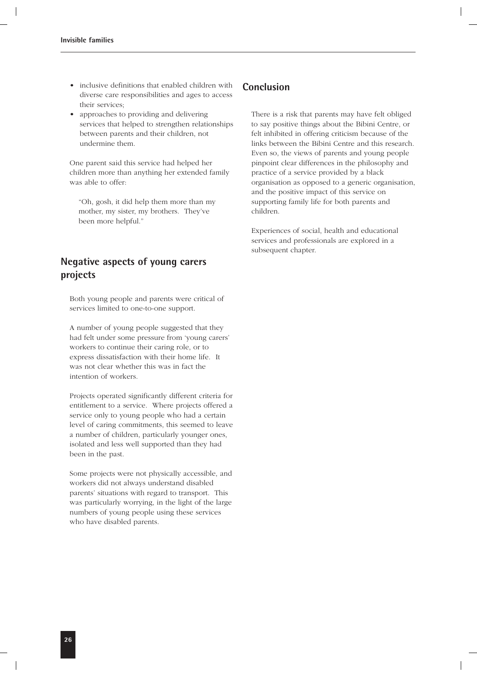- inclusive definitions that enabled children with diverse care responsibilities and ages to access their services;
- approaches to providing and delivering services that helped to strengthen relationships between parents and their children, not undermine them.

One parent said this service had helped her children more than anything her extended family was able to offer:

"Oh, gosh, it did help them more than my mother, my sister, my brothers. They've been more helpful."

### **Negative aspects of young carers projects**

Both young people and parents were critical of services limited to one-to-one support.

A number of young people suggested that they had felt under some pressure from 'young carers' workers to continue their caring role, or to express dissatisfaction with their home life. It was not clear whether this was in fact the intention of workers.

Projects operated significantly different criteria for entitlement to a service. Where projects offered a service only to young people who had a certain level of caring commitments, this seemed to leave a number of children, particularly younger ones, isolated and less well supported than they had been in the past.

Some projects were not physically accessible, and workers did not always understand disabled parents' situations with regard to transport. This was particularly worrying, in the light of the large numbers of young people using these services who have disabled parents.

### **Conclusion**

There is a risk that parents may have felt obliged to say positive things about the Bibini Centre, or felt inhibited in offering criticism because of the links between the Bibini Centre and this research. Even so, the views of parents and young people pinpoint clear differences in the philosophy and practice of a service provided by a black organisation as opposed to a generic organisation, and the positive impact of this service on supporting family life for both parents and children.

Experiences of social, health and educational services and professionals are explored in a subsequent chapter.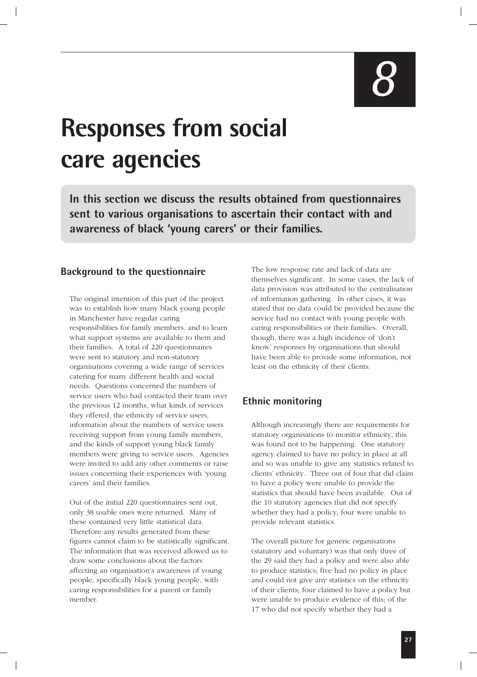*8*

## **Responses from social care agencies**

**In this section we discuss the results obtained from questionnaires sent to various organisations to ascertain their contact with and awareness of black 'young carers' or their families.**

### **Background to the questionnaire**

The original intention of this part of the project was to establish how many black young people in Manchester have regular caring responsibilities for family members, and to learn what support systems are available to them and their families. A total of 220 questionnaires were sent to statutory and non-statutory organisations covering a wide range of services catering for many different health and social needs. Questions concerned the numbers of service users who had contacted their team over the previous 12 months, what kinds of services they offered, the ethnicity of service users, information about the numbers of service users receiving support from young family members, and the kinds of support young black family members were giving to service users. Agencies were invited to add any other comments or raise issues concerning their experiences with 'young carers' and their families.

Out of the initial 220 questionnaires sent out, only 38 usable ones were returned. Many of these contained very little statistical data. Therefore any results generated from these figures cannot claim to be statistically significant. The information that was received allowed us to draw some conclusions about the factors affecting an organisation's awareness of young people, specifically black young people, with caring responsibilities for a parent or family member.

The low response rate and lack of data are themselves significant. In some cases, the lack of data provision was attributed to the centralisation of information gathering. In other cases, it was stated that no data could be provided because the service had no contact with young people with caring responsibilities or their families. Overall, though, there was a high incidence of 'don't know' responses by organisations that should have been able to provide some information, not least on the ethnicity of their clients.

### **Ethnic monitoring**

Although increasingly there are requirements for statutory organisations to monitor ethnicity, this was found not to be happening. One statutory agency claimed to have no policy in place at all and so was unable to give any statistics related to clients' ethnicity. Three out of four that did claim to have a policy were unable to provide the statistics that should have been available. Out of the 10 statutory agencies that did not specify whether they had a policy, four were unable to provide relevant statistics.

The overall picture for generic organisations (statutory and voluntary) was that only three of the 29 said they had a policy and were also able to produce statistics; five had no policy in place and could not give any statistics on the ethnicity of their clients; four claimed to have a policy but were unable to produce evidence of this; of the 17 who did not specify whether they had a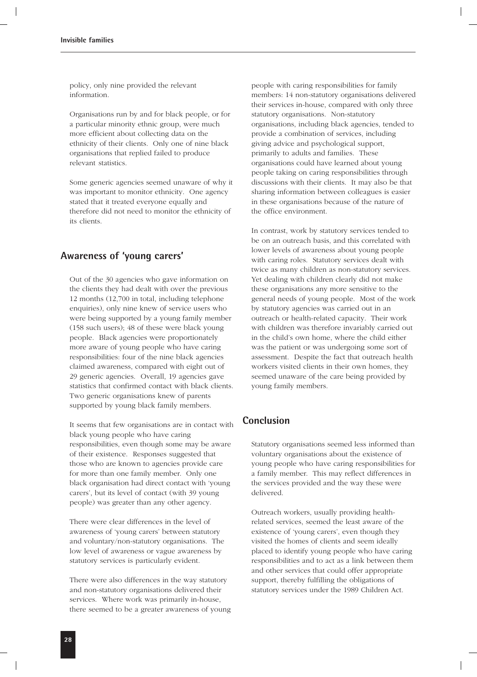policy, only nine provided the relevant information.

Organisations run by and for black people, or for a particular minority ethnic group, were much more efficient about collecting data on the ethnicity of their clients. Only one of nine black organisations that replied failed to produce relevant statistics.

Some generic agencies seemed unaware of why it was important to monitor ethnicity. One agency stated that it treated everyone equally and therefore did not need to monitor the ethnicity of its clients.

### **Awareness of 'young carers'**

Out of the 30 agencies who gave information on the clients they had dealt with over the previous 12 months (12,700 in total, including telephone enquiries), only nine knew of service users who were being supported by a young family member (158 such users); 48 of these were black young people. Black agencies were proportionately more aware of young people who have caring responsibilities: four of the nine black agencies claimed awareness, compared with eight out of 29 generic agencies. Overall, 19 agencies gave statistics that confirmed contact with black clients. Two generic organisations knew of parents supported by young black family members.

It seems that few organisations are in contact with black young people who have caring responsibilities, even though some may be aware of their existence. Responses suggested that those who are known to agencies provide care for more than one family member. Only one black organisation had direct contact with 'young carers', but its level of contact (with 39 young people) was greater than any other agency.

There were clear differences in the level of awareness of 'young carers' between statutory and voluntary/non-statutory organisations. The low level of awareness or vague awareness by statutory services is particularly evident.

There were also differences in the way statutory and non-statutory organisations delivered their services. Where work was primarily in-house, there seemed to be a greater awareness of young people with caring responsibilities for family members: 14 non-statutory organisations delivered their services in-house, compared with only three statutory organisations. Non-statutory organisations, including black agencies, tended to provide a combination of services, including giving advice and psychological support, primarily to adults and families. These organisations could have learned about young people taking on caring responsibilities through discussions with their clients. It may also be that sharing information between colleagues is easier in these organisations because of the nature of the office environment.

In contrast, work by statutory services tended to be on an outreach basis, and this correlated with lower levels of awareness about young people with caring roles. Statutory services dealt with twice as many children as non-statutory services. Yet dealing with children clearly did not make these organisations any more sensitive to the general needs of young people. Most of the work by statutory agencies was carried out in an outreach or health-related capacity. Their work with children was therefore invariably carried out in the child's own home, where the child either was the patient or was undergoing some sort of assessment. Despite the fact that outreach health workers visited clients in their own homes, they seemed unaware of the care being provided by young family members.

### **Conclusion**

Statutory organisations seemed less informed than voluntary organisations about the existence of young people who have caring responsibilities for a family member. This may reflect differences in the services provided and the way these were delivered.

Outreach workers, usually providing healthrelated services, seemed the least aware of the existence of 'young carers', even though they visited the homes of clients and seem ideally placed to identify young people who have caring responsibilities and to act as a link between them and other services that could offer appropriate support, thereby fulfilling the obligations of statutory services under the 1989 Children Act.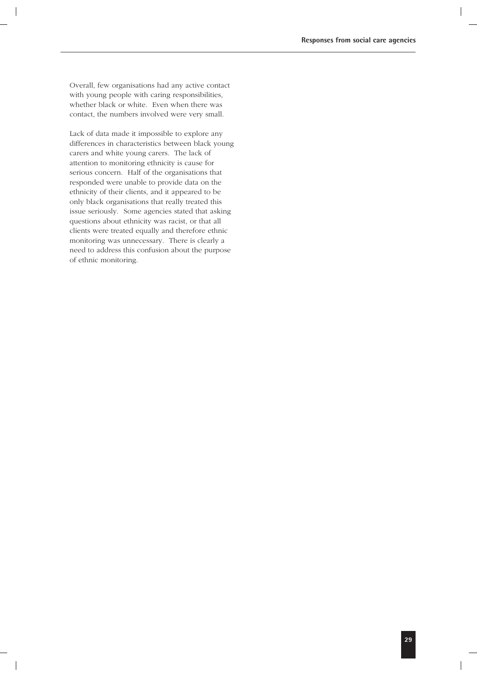Overall, few organisations had any active contact with young people with caring responsibilities, whether black or white. Even when there was contact, the numbers involved were very small.

Lack of data made it impossible to explore any differences in characteristics between black young carers and white young carers. The lack of attention to monitoring ethnicity is cause for serious concern. Half of the organisations that responded were unable to provide data on the ethnicity of their clients, and it appeared to be only black organisations that really treated this issue seriously. Some agencies stated that asking questions about ethnicity was racist, or that all clients were treated equally and therefore ethnic monitoring was unnecessary. There is clearly a need to address this confusion about the purpose of ethnic monitoring.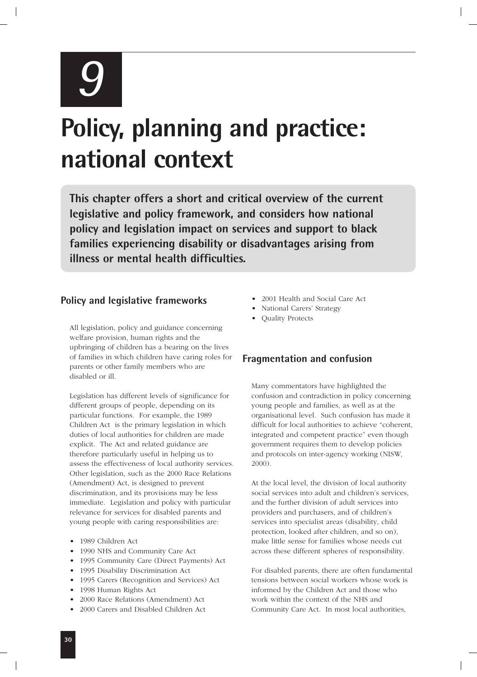*9*

# **Policy, planning and practice: national context**

**This chapter offers a short and critical overview of the current legislative and policy framework, and considers how national policy and legislation impact on services and support to black families experiencing disability or disadvantages arising from illness or mental health difficulties.**

### **Policy and legislative frameworks**

All legislation, policy and guidance concerning welfare provision, human rights and the upbringing of children has a bearing on the lives of families in which children have caring roles for parents or other family members who are disabled or ill.

Legislation has different levels of significance for different groups of people, depending on its particular functions. For example, the 1989 Children Act is the primary legislation in which duties of local authorities for children are made explicit. The Act and related guidance are therefore particularly useful in helping us to assess the effectiveness of local authority services. Other legislation, such as the 2000 Race Relations (Amendment) Act, is designed to prevent discrimination, and its provisions may be less immediate. Legislation and policy with particular relevance for services for disabled parents and young people with caring responsibilities are:

- 1989 Children Act
- 1990 NHS and Community Care Act
- 1995 Community Care (Direct Payments) Act
- 1995 Disability Discrimination Act
- 1995 Carers (Recognition and Services) Act
- 1998 Human Rights Act
- 2000 Race Relations (Amendment) Act
- 2000 Carers and Disabled Children Act
- 2001 Health and Social Care Act
- National Carers' Strategy
- Quality Protects

### **Fragmentation and confusion**

Many commentators have highlighted the confusion and contradiction in policy concerning young people and families, as well as at the organisational level. Such confusion has made it difficult for local authorities to achieve "coherent, integrated and competent practice" even though government requires them to develop policies and protocols on inter-agency working (NISW, 2000).

At the local level, the division of local authority social services into adult and children's services, and the further division of adult services into providers and purchasers, and of children's services into specialist areas (disability, child protection, looked after children, and so on), make little sense for families whose needs cut across these different spheres of responsibility.

For disabled parents, there are often fundamental tensions between social workers whose work is informed by the Children Act and those who work within the context of the NHS and Community Care Act. In most local authorities,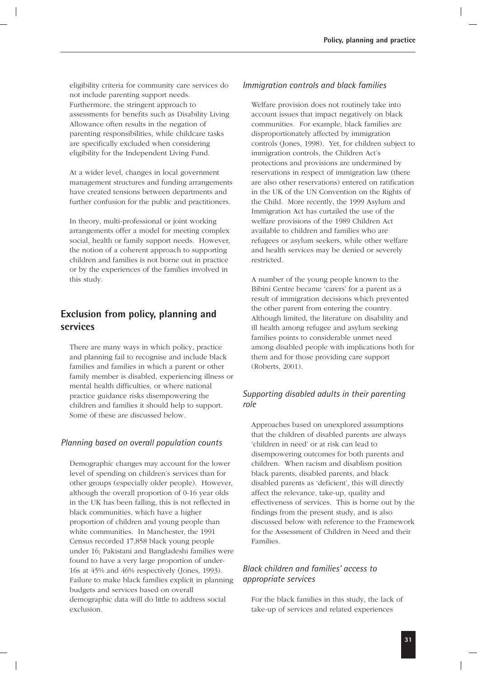eligibility criteria for community care services do not include parenting support needs. Furthermore, the stringent approach to assessments for benefits such as Disability Living Allowance often results in the negation of parenting responsibilities, while childcare tasks are specifically excluded when considering eligibility for the Independent Living Fund.

At a wider level, changes in local government management structures and funding arrangements have created tensions between departments and further confusion for the public and practitioners.

In theory, multi-professional or joint working arrangements offer a model for meeting complex social, health or family support needs. However, the notion of a coherent approach to supporting children and families is not borne out in practice or by the experiences of the families involved in this study.

### **Exclusion from policy, planning and services**

There are many ways in which policy, practice and planning fail to recognise and include black families and families in which a parent or other family member is disabled, experiencing illness or mental health difficulties, or where national practice guidance risks disempowering the children and families it should help to support. Some of these are discussed below.

#### *Planning based on overall population counts*

Demographic changes may account for the lower level of spending on children's services than for other groups (especially older people). However, although the overall proportion of 0-16 year olds in the UK has been falling, this is not reflected in black communities, which have a higher proportion of children and young people than white communities. In Manchester, the 1991 Census recorded 17,858 black young people under 16; Pakistani and Bangladeshi families were found to have a very large proportion of under-16s at 45% and 46% respectively (Jones, 1993). Failure to make black families explicit in planning budgets and services based on overall demographic data will do little to address social exclusion.

#### *Immigration controls and black families*

Welfare provision does not routinely take into account issues that impact negatively on black communities. For example, black families are disproportionately affected by immigration controls (Jones, 1998). Yet, for children subject to immigration controls, the Children Act's protections and provisions are undermined by reservations in respect of immigration law (there are also other reservations) entered on ratification in the UK of the UN Convention on the Rights of the Child. More recently, the 1999 Asylum and Immigration Act has curtailed the use of the welfare provisions of the 1989 Children Act available to children and families who are refugees or asylum seekers, while other welfare and health services may be denied or severely restricted.

A number of the young people known to the Bibini Centre became 'carers' for a parent as a result of immigration decisions which prevented the other parent from entering the country. Although limited, the literature on disability and ill health among refugee and asylum seeking families points to considerable unmet need among disabled people with implications both for them and for those providing care support (Roberts, 2001).

### *Supporting disabled adults in their parenting role*

Approaches based on unexplored assumptions that the children of disabled parents are always 'children in need' or at risk can lead to disempowering outcomes for both parents and children. When racism and disablism position black parents, disabled parents, and black disabled parents as 'deficient', this will directly affect the relevance, take-up, quality and effectiveness of services. This is borne out by the findings from the present study, and is also discussed below with reference to the Framework for the Assessment of Children in Need and their Families.

### *Black children and families' access to appropriate services*

For the black families in this study, the lack of take-up of services and related experiences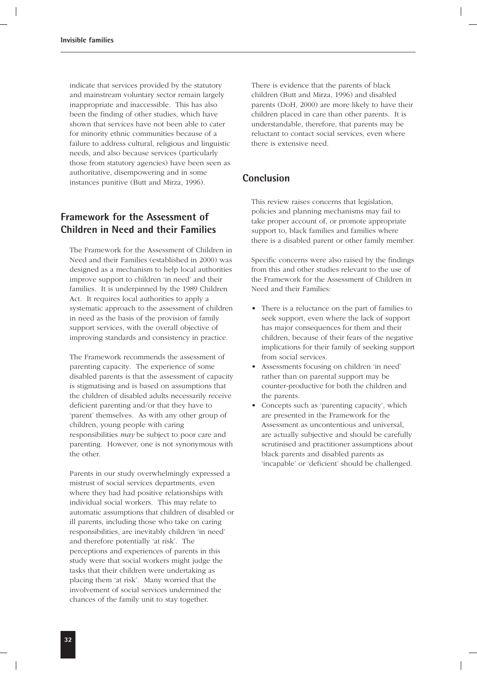indicate that services provided by the statutory and mainstream voluntary sector remain largely inappropriate and inaccessible. This has also been the finding of other studies, which have shown that services have not been able to cater for minority ethnic communities because of a failure to address cultural, religious and linguistic needs, and also because services (particularly those from statutory agencies) have been seen as authoritative, disempowering and in some instances punitive (Butt and Mirza, 1996).

### **Framework for the Assessment of Children in Need and their Families**

The Framework for the Assessment of Children in Need and their Families (established in 2000) was designed as a mechanism to help local authorities improve support to children 'in need' and their families. It is underpinned by the 1989 Children Act. It requires local authorities to apply a systematic approach to the assessment of children in need as the basis of the provision of family support services, with the overall objective of improving standards and consistency in practice.

The Framework recommends the assessment of parenting capacity. The experience of some disabled parents is that the assessment of capacity is stigmatising and is based on assumptions that the children of disabled adults necessarily receive deficient parenting and/or that they have to 'parent' themselves. As with any other group of children, young people with caring responsibilities *may* be subject to poor care and parenting. However, one is not synonymous with the other.

Parents in our study overwhelmingly expressed a mistrust of social services departments, even where they had had positive relationships with individual social workers. This may relate to automatic assumptions that children of disabled or ill parents, including those who take on caring responsibilities, are inevitably children 'in need' and therefore potentially 'at risk'. The perceptions and experiences of parents in this study were that social workers might judge the tasks that their children were undertaking as placing them 'at risk'. Many worried that the involvement of social services undermined the chances of the family unit to stay together.

There is evidence that the parents of black children (Butt and Mirza, 1996) and disabled parents (DoH, 2000) are more likely to have their children placed in care than other parents. It is understandable, therefore, that parents may be reluctant to contact social services, even where there is extensive need.

### **Conclusion**

This review raises concerns that legislation, policies and planning mechanisms may fail to take proper account of, or promote appropriate support to, black families and families where there is a disabled parent or other family member.

Specific concerns were also raised by the findings from this and other studies relevant to the use of the Framework for the Assessment of Children in Need and their Families:

- There is a reluctance on the part of families to seek support, even where the lack of support has major consequences for them and their children, because of their fears of the negative implications for their family of seeking support from social services.
- Assessments focusing on children 'in need' rather than on parental support may be counter-productive for both the children and the parents.
- Concepts such as 'parenting capacity', which are presented in the Framework for the Assessment as uncontentious and universal, are actually subjective and should be carefully scrutinised and practitioner assumptions about black parents and disabled parents as 'incapable' or 'deficient' should be challenged.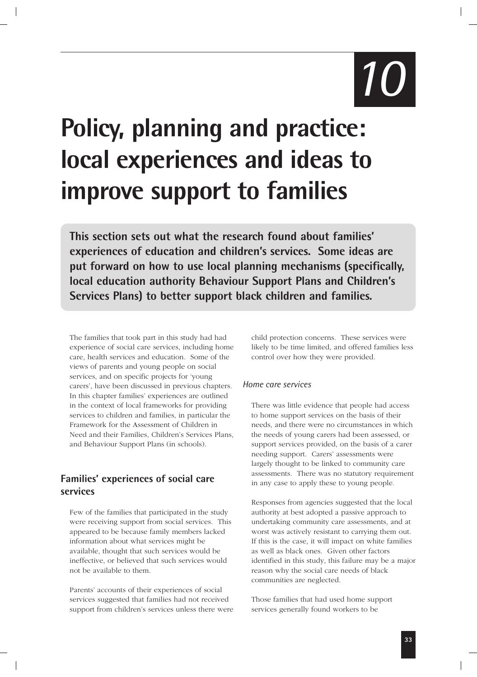*10*

# **Policy, planning and practice: local experiences and ideas to improve support to families**

**This section sets out what the research found about families' experiences of education and children's services. Some ideas are put forward on how to use local planning mechanisms (specifically, local education authority Behaviour Support Plans and Children's Services Plans) to better support black children and families.**

The families that took part in this study had had experience of social care services, including home care, health services and education. Some of the views of parents and young people on social services, and on specific projects for 'young carers', have been discussed in previous chapters. In this chapter families' experiences are outlined in the context of local frameworks for providing services to children and families, in particular the Framework for the Assessment of Children in Need and their Families, Children's Services Plans, and Behaviour Support Plans (in schools).

### **Families' experiences of social care services**

Few of the families that participated in the study were receiving support from social services. This appeared to be because family members lacked information about what services might be available, thought that such services would be ineffective, or believed that such services would not be available to them.

Parents' accounts of their experiences of social services suggested that families had not received support from children's services unless there were child protection concerns. These services were likely to be time limited, and offered families less control over how they were provided.

#### *Home care services*

There was little evidence that people had access to home support services on the basis of their needs, and there were no circumstances in which the needs of young carers had been assessed, or support services provided, on the basis of a carer needing support. Carers' assessments were largely thought to be linked to community care assessments. There was no statutory requirement in any case to apply these to young people.

Responses from agencies suggested that the local authority at best adopted a passive approach to undertaking community care assessments, and at worst was actively resistant to carrying them out. If this is the case, it will impact on white families as well as black ones. Given other factors identified in this study, this failure may be a major reason why the social care needs of black communities are neglected.

Those families that had used home support services generally found workers to be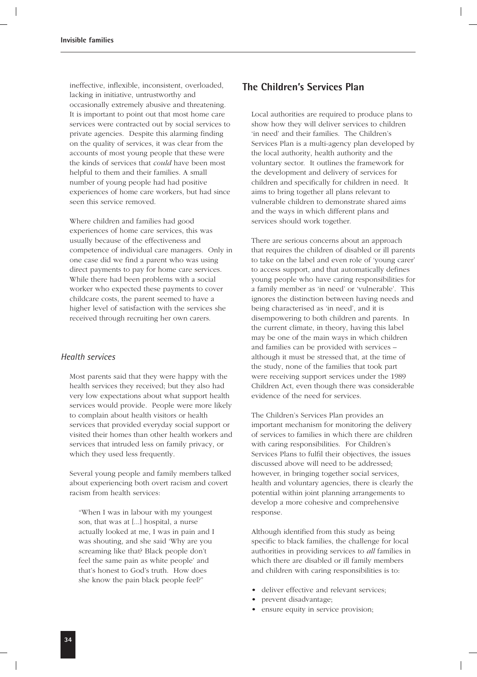ineffective, inflexible, inconsistent, overloaded, lacking in initiative, untrustworthy and occasionally extremely abusive and threatening. It is important to point out that most home care services were contracted out by social services to private agencies. Despite this alarming finding on the quality of services, it was clear from the accounts of most young people that these were the kinds of services that *could* have been most helpful to them and their families. A small number of young people had had positive experiences of home care workers, but had since seen this service removed.

Where children and families had good experiences of home care services, this was usually because of the effectiveness and competence of individual care managers. Only in one case did we find a parent who was using direct payments to pay for home care services. While there had been problems with a social worker who expected these payments to cover childcare costs, the parent seemed to have a higher level of satisfaction with the services she received through recruiting her own carers.

#### *Health services*

Most parents said that they were happy with the health services they received; but they also had very low expectations about what support health services would provide. People were more likely to complain about health visitors or health services that provided everyday social support or visited their homes than other health workers and services that intruded less on family privacy, or which they used less frequently.

Several young people and family members talked about experiencing both overt racism and covert racism from health services:

"When I was in labour with my youngest son, that was at [...] hospital, a nurse actually looked at me, I was in pain and I was shouting, and she said 'Why are you screaming like that? Black people don't feel the same pain as white people' and that's honest to God's truth. How does she know the pain black people feel?"

### **The Children's Services Plan**

Local authorities are required to produce plans to show how they will deliver services to children 'in need' and their families. The Children's Services Plan is a multi-agency plan developed by the local authority, health authority and the voluntary sector. It outlines the framework for the development and delivery of services for children and specifically for children in need. It aims to bring together all plans relevant to vulnerable children to demonstrate shared aims and the ways in which different plans and services should work together.

There are serious concerns about an approach that requires the children of disabled or ill parents to take on the label and even role of 'young carer' to access support, and that automatically defines young people who have caring responsibilities for a family member as 'in need' or 'vulnerable'. This ignores the distinction between having needs and being characterised as 'in need', and it is disempowering to both children and parents. In the current climate, in theory, having this label may be one of the main ways in which children and families can be provided with services – although it must be stressed that, at the time of the study, none of the families that took part were receiving support services under the 1989 Children Act, even though there was considerable evidence of the need for services.

The Children's Services Plan provides an important mechanism for monitoring the delivery of services to families in which there are children with caring responsibilities. For Children's Services Plans to fulfil their objectives, the issues discussed above will need to be addressed; however, in bringing together social services, health and voluntary agencies, there is clearly the potential within joint planning arrangements to develop a more cohesive and comprehensive response.

Although identified from this study as being specific to black families, the challenge for local authorities in providing services to *all* families in which there are disabled or ill family members and children with caring responsibilities is to:

- deliver effective and relevant services;
- prevent disadvantage;
- ensure equity in service provision;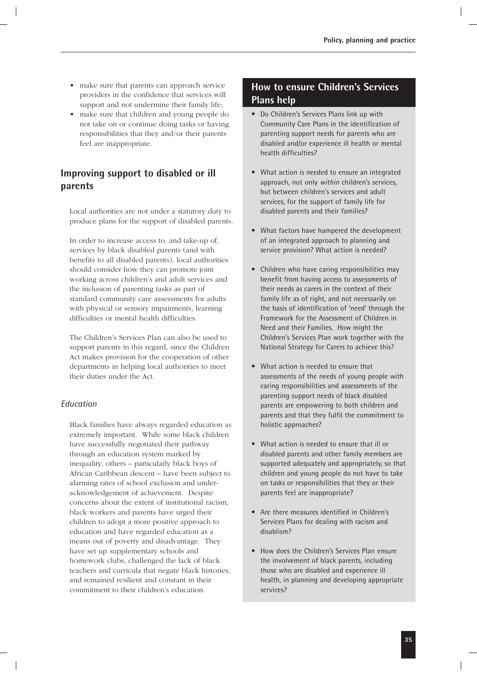- make sure that parents can approach service providers in the confidence that services will support and not undermine their family life;
- make sure that children and young people do not take on or continue doing tasks or having responsibilities that they and/or their parents feel are inappropriate.

### **Improving support to disabled or ill parents**

Local authorities are not under a statutory duty to produce plans for the support of disabled parents.

In order to increase access to, and take-up of, services by black disabled parents (and with benefits to all disabled parents), local authorities should consider how they can promote joint working across children's and adult services and the inclusion of parenting tasks as part of standard community care assessments for adults with physical or sensory impairments, learning difficulties or mental health difficulties.

The Children's Services Plan can also be used to support parents in this regard, since the Children Act makes provision for the cooperation of other departments in helping local authorities to meet their duties under the Act.

#### *Education*

Black families have always regarded education as extremely important. While some black children have successfully negotiated their pathway through an education system marked by inequality, others – particularly black boys of African Caribbean descent – have been subject to alarming rates of school exclusion and underacknowledgement of achievement. Despite concerns about the extent of institutional racism, black workers and parents have urged their children to adopt a more positive approach to education and have regarded education as a means out of poverty and disadvantage. They have set up supplementary schools and homework clubs, challenged the lack of black teachers and curricula that negate black histories, and remained resilient and constant in their commitment to their children's education.

### **How to ensure Children's Services Plans help**

- Do Children's Services Plans link up with Community Care Plans in the identification of parenting support needs for parents who are disabled and/or experience ill health or mental health difficulties?
- What action is needed to ensure an integrated approach, not only *within* children's services, but between children's services and adult services, for the support of family life for disabled parents and their families?
- What factors have hampered the development of an integrated approach to planning and service provision? What action is needed?
- Children who have caring responsibilities may benefit from having access to assessments of their needs as carers in the context of their family life as of right, and not necessarily on the basis of identification of 'need' through the Framework for the Assessment of Children in Need and their Families. How might the Children's Services Plan work together with the National Strategy for Carers to achieve this?
- What action is needed to ensure that assessments of the needs of young people with caring responsibilities and assessments of the parenting support needs of black disabled parents are empowering to both children and parents and that they fulfil the commitment to holistic approaches?
- What action is needed to ensure that ill or disabled parents and other family members are supported adequately and appropriately, so that children and young people do not have to take on tasks or responsibilities that they or their parents feel are inappropriate?
- Are there measures identified in Children's Services Plans for dealing with racism and disablism?
- How does the Children's Services Plan ensure the involvement of black parents, including those who are disabled and experience ill health, in planning and developing appropriate services?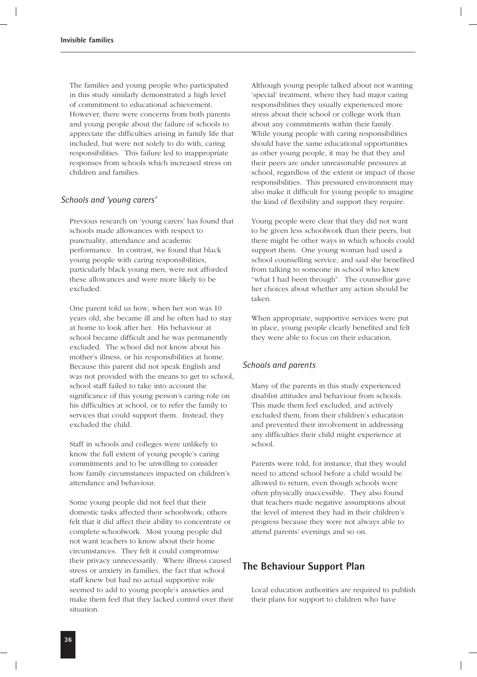The families and young people who participated in this study similarly demonstrated a high level of commitment to educational achievement. However, there were concerns from both parents and young people about the failure of schools to appreciate the difficulties arising in family life that included, but were not solely to do with, caring responsibilities. This failure led to inappropriate responses from schools which increased stress on children and families.

#### *Schools and 'young carers'*

Previous research on 'young carers' has found that schools made allowances with respect to punctuality, attendance and academic performance. In contrast, we found that black young people with caring responsibilities, particularly black young men, were not afforded these allowances and were more likely to be excluded.

One parent told us how, when her son was 10 years old, she became ill and he often had to stay at home to look after her. His behaviour at school became difficult and he was permanently excluded. The school did not know about his mother's illness, or his responsibilities at home. Because this parent did not speak English and was not provided with the means to get to school, school staff failed to take into account the significance of this young person's caring role on his difficulties at school, or to refer the family to services that could support them. Instead, they excluded the child.

Staff in schools and colleges were unlikely to know the full extent of young people's caring commitments and to be unwilling to consider how family circumstances impacted on children's attendance and behaviour.

Some young people did not feel that their domestic tasks affected their schoolwork; others felt that it did affect their ability to concentrate or complete schoolwork. Most young people did not want teachers to know about their home circumstances. They felt it could compromise their privacy unnecessarily. Where illness caused stress or anxiety in families, the fact that school staff knew but had no actual supportive role seemed to add to young people's anxieties and make them feel that they lacked control over their situation.

Although young people talked about not wanting 'special' treatment, where they had major caring responsibilities they usually experienced more stress about their school or college work than about any commitments within their family. While young people with caring responsibilities should have the same educational opportunities as other young people, it may be that they and their peers are under unreasonable pressures at school, regardless of the extent or impact of those responsibilities. This pressured environment may also make it difficult for young people to imagine the kind of flexibility and support they require.

Young people were clear that they did not want to be given less schoolwork than their peers, but there might be other ways in which schools could support them. One young woman had used a school counselling service, and said she benefited from talking to someone in school who knew "what I had been through". The counsellor gave her choices about whether any action should be taken.

When appropriate, supportive services were put in place, young people clearly benefited and felt they were able to focus on their education.

#### *Schools and parents*

Many of the parents in this study experienced disablist attitudes and behaviour from schools. This made them feel excluded, and actively excluded them, from their children's education and prevented their involvement in addressing any difficulties their child might experience at school.

Parents were told, for instance, that they would need to attend school before a child would be allowed to return, even though schools were often physically inaccessible. They also found that teachers made negative assumptions about the level of interest they had in their children's progress because they were not always able to attend parents' evenings and so on.

### **The Behaviour Support Plan**

Local education authorities are required to publish their plans for support to children who have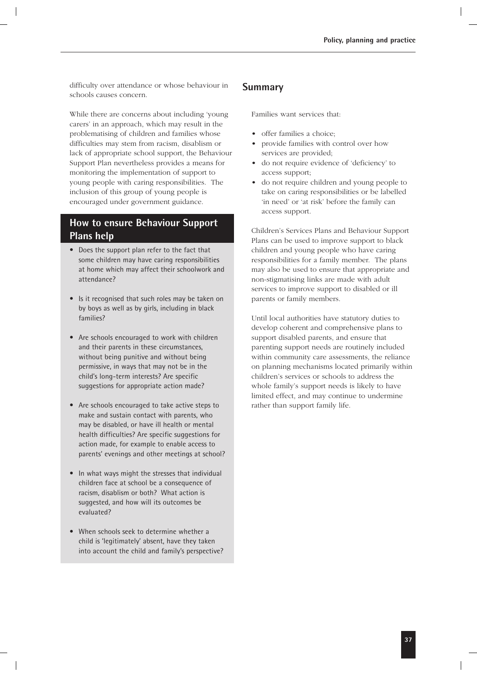difficulty over attendance or whose behaviour in schools causes concern.

While there are concerns about including 'young carers' in an approach, which may result in the problematising of children and families whose difficulties may stem from racism, disablism or lack of appropriate school support, the Behaviour Support Plan nevertheless provides a means for monitoring the implementation of support to young people with caring responsibilities. The inclusion of this group of young people is encouraged under government guidance.

### **How to ensure Behaviour Support Plans help**

- Does the support plan refer to the fact that some children may have caring responsibilities at home which may affect their schoolwork and attendance?
- Is it recognised that such roles may be taken on by boys as well as by girls, including in black families?
- Are schools encouraged to work with children and their parents in these circumstances, without being punitive and without being permissive, in ways that may not be in the child's long-term interests? Are specific suggestions for appropriate action made?
- Are schools encouraged to take active steps to make and sustain contact with parents, who may be disabled, or have ill health or mental health difficulties? Are specific suggestions for action made, for example to enable access to parents' evenings and other meetings at school?
- In what ways might the stresses that individual children face at school be a consequence of racism, disablism or both? What action is suggested, and how will its outcomes be evaluated?
- When schools seek to determine whether a child is 'legitimately' absent, have they taken into account the child and family's perspective?

### **Summary**

Families want services that:

- offer families a choice:
- provide families with control over how services are provided;
- do not require evidence of 'deficiency' to access support;
- do not require children and young people to take on caring responsibilities or be labelled 'in need' or 'at risk' before the family can access support.

Children's Services Plans and Behaviour Support Plans can be used to improve support to black children and young people who have caring responsibilities for a family member. The plans may also be used to ensure that appropriate and non-stigmatising links are made with adult services to improve support to disabled or ill parents or family members.

Until local authorities have statutory duties to develop coherent and comprehensive plans to support disabled parents, and ensure that parenting support needs are routinely included within community care assessments, the reliance on planning mechanisms located primarily within children's services or schools to address the whole family's support needs is likely to have limited effect, and may continue to undermine rather than support family life.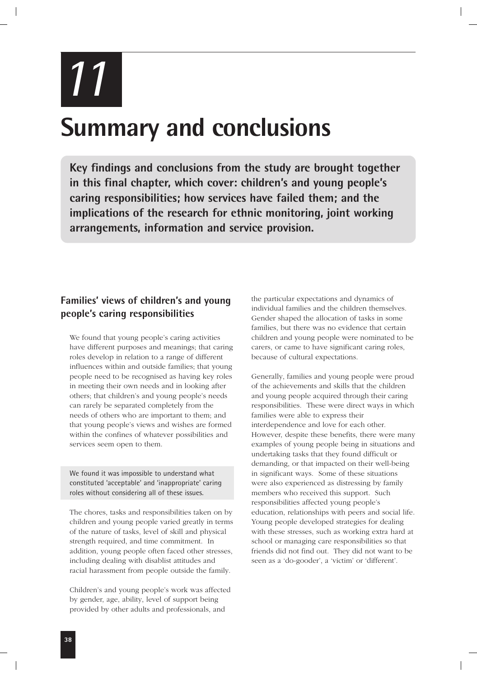*11*

### **Summary and conclusions**

**Key findings and conclusions from the study are brought together in this final chapter, which cover: children's and young people's caring responsibilities; how services have failed them; and the implications of the research for ethnic monitoring, joint working arrangements, information and service provision.**

### **Families' views of children's and young people's caring responsibilities**

We found that young people's caring activities have different purposes and meanings; that caring roles develop in relation to a range of different influences within and outside families; that young people need to be recognised as having key roles in meeting their own needs and in looking after others; that children's and young people's needs can rarely be separated completely from the needs of others who are important to them; and that young people's views and wishes are formed within the confines of whatever possibilities and services seem open to them.

We found it was impossible to understand what constituted 'acceptable' and 'inappropriate' caring roles without considering all of these issues.

The chores, tasks and responsibilities taken on by children and young people varied greatly in terms of the nature of tasks, level of skill and physical strength required, and time commitment. In addition, young people often faced other stresses, including dealing with disablist attitudes and racial harassment from people outside the family.

Children's and young people's work was affected by gender, age, ability, level of support being provided by other adults and professionals, and

the particular expectations and dynamics of individual families and the children themselves. Gender shaped the allocation of tasks in some families, but there was no evidence that certain children and young people were nominated to be carers, or came to have significant caring roles, because of cultural expectations.

Generally, families and young people were proud of the achievements and skills that the children and young people acquired through their caring responsibilities. These were direct ways in which families were able to express their interdependence and love for each other. However, despite these benefits, there were many examples of young people being in situations and undertaking tasks that they found difficult or demanding, or that impacted on their well-being in significant ways. Some of these situations were also experienced as distressing by family members who received this support. Such responsibilities affected young people's education, relationships with peers and social life. Young people developed strategies for dealing with these stresses, such as working extra hard at school or managing care responsibilities so that friends did not find out. They did not want to be seen as a 'do-gooder', a 'victim' or 'different'.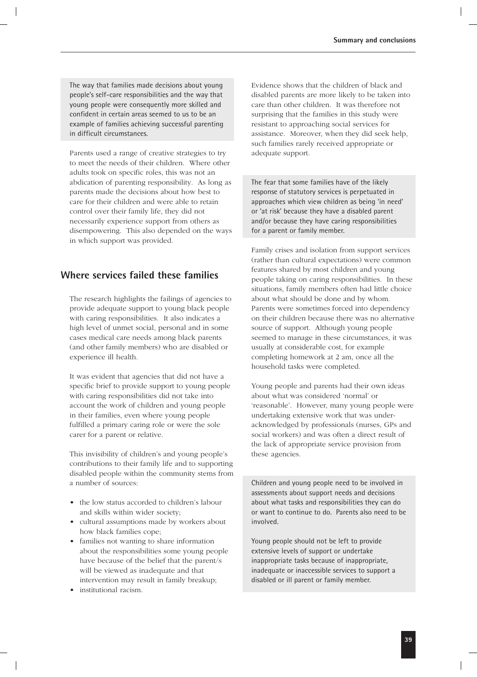The way that families made decisions about young people's self-care responsibilities and the way that young people were consequently more skilled and confident in certain areas seemed to us to be an example of families achieving successful parenting in difficult circumstances.

Parents used a range of creative strategies to try to meet the needs of their children. Where other adults took on specific roles, this was not an abdication of parenting responsibility. As long as parents made the decisions about how best to care for their children and were able to retain control over their family life, they did not necessarily experience support from others as disempowering. This also depended on the ways in which support was provided.

### **Where services failed these families**

The research highlights the failings of agencies to provide adequate support to young black people with caring responsibilities. It also indicates a high level of unmet social, personal and in some cases medical care needs among black parents (and other family members) who are disabled or experience ill health.

It was evident that agencies that did not have a specific brief to provide support to young people with caring responsibilities did not take into account the work of children and young people in their families, even where young people fulfilled a primary caring role or were the sole carer for a parent or relative.

This invisibility of children's and young people's contributions to their family life and to supporting disabled people within the community stems from a number of sources:

- the low status accorded to children's labour and skills within wider society;
- cultural assumptions made by workers about how black families cope;
- families not wanting to share information about the responsibilities some young people have because of the belief that the parent/s will be viewed as inadequate and that intervention may result in family breakup;
- institutional racism.

Evidence shows that the children of black and disabled parents are more likely to be taken into care than other children. It was therefore not surprising that the families in this study were resistant to approaching social services for assistance. Moreover, when they did seek help, such families rarely received appropriate or adequate support.

The fear that some families have of the likely response of statutory services is perpetuated in approaches which view children as being 'in need' or 'at risk' because they have a disabled parent and/or because they have caring responsibilities for a parent or family member.

Family crises and isolation from support services (rather than cultural expectations) were common features shared by most children and young people taking on caring responsibilities. In these situations, family members often had little choice about what should be done and by whom. Parents were sometimes forced into dependency on their children because there was no alternative source of support. Although young people seemed to manage in these circumstances, it was usually at considerable cost, for example completing homework at 2 am, once all the household tasks were completed.

Young people and parents had their own ideas about what was considered 'normal' or 'reasonable'. However, many young people were undertaking extensive work that was underacknowledged by professionals (nurses, GPs and social workers) and was often a direct result of the lack of appropriate service provision from these agencies.

Children and young people need to be involved in assessments about support needs and decisions about what tasks and responsibilities they can do or want to continue to do. Parents also need to be involved.

Young people should not be left to provide extensive levels of support or undertake inappropriate tasks because of inappropriate, inadequate or inaccessible services to support a disabled or ill parent or family member.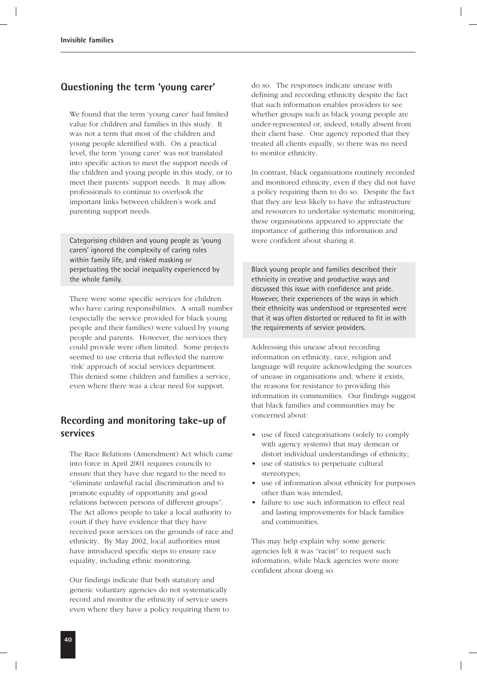### **Questioning the term 'young carer'**

We found that the term 'young carer' had limited value for children and families in this study. It was not a term that most of the children and young people identified with. On a practical level, the term 'young carer' was not translated into specific action to meet the support needs of the children and young people in this study, or to meet their parents' support needs. It may allow professionals to continue to overlook the important links between children's work and parenting support needs.

Categorising children and young people as 'young carers' ignored the complexity of caring roles within family life, and risked masking or perpetuating the social inequality experienced by the whole family.

There were some specific services for children who have caring responsibilities. A small number (especially the service provided for black young people and their families) were valued by young people and parents. However, the services they could provide were often limited. Some projects seemed to use criteria that reflected the narrow 'risk' approach of social services department. This denied some children and families a service, even where there was a clear need for support.

### **Recording and monitoring take-up of services**

The Race Relations (Amendment) Act which came into force in April 2001 requires councils to ensure that they have due regard to the need to "eliminate unlawful racial discrimination and to promote equality of opportunity and good relations between persons of different groups". The Act allows people to take a local authority to court if they have evidence that they have received poor services on the grounds of race and ethnicity. By May 2002, local authorities must have introduced specific steps to ensure race equality, including ethnic monitoring.

Our findings indicate that both statutory and generic voluntary agencies do not systematically record and monitor the ethnicity of service users even where they have a policy requiring them to

do so. The responses indicate unease with defining and recording ethnicity despite the fact that such information enables providers to see whether groups such as black young people are under-represented or, indeed, totally absent from their client base. One agency reported that they treated all clients equally, so there was no need to monitor ethnicity.

In contrast, black organisations routinely recorded and monitored ethnicity, even if they did not have a policy requiring them to do so. Despite the fact that they are less likely to have the infrastructure and resources to undertake systematic monitoring, these organisations appeared to appreciate the importance of gathering this information and were confident about sharing it.

Black young people and families described their ethnicity in creative and productive ways and discussed this issue with confidence and pride. However, their experiences of the ways in which their ethnicity was understood or represented were that it was often distorted or reduced to fit in with the requirements of service providers.

Addressing this unease about recording information on ethnicity, race, religion and language will require acknowledging the sources of unease in organisations and, where it exists, the reasons for resistance to providing this information in communities. Our findings suggest that black families and communities may be concerned about:

- use of fixed categorisations (solely to comply with agency systems) that may demean or distort individual understandings of ethnicity;
- use of statistics to perpetuate cultural stereotypes;
- use of information about ethnicity for purposes other than was intended;
- failure to use such information to effect real and lasting improvements for black families and communities.

This may help explain why some generic agencies felt it was "racist" to request such information, while black agencies were more confident about doing so.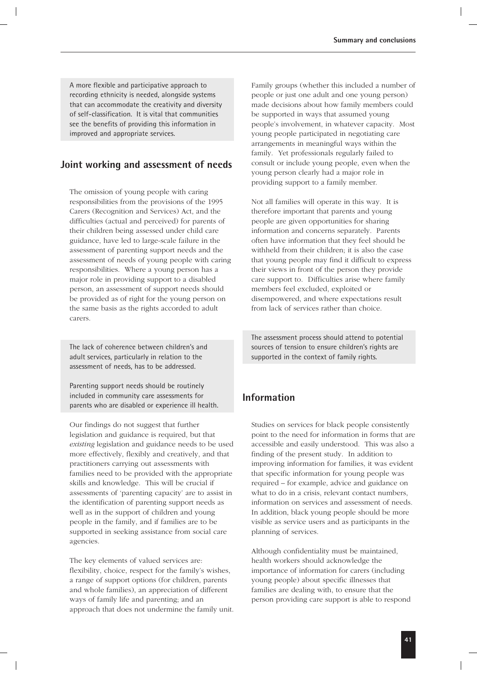A more flexible and participative approach to recording ethnicity is needed, alongside systems that can accommodate the creativity and diversity of self-classification. It is vital that communities see the benefits of providing this information in improved and appropriate services.

### **Joint working and assessment of needs**

The omission of young people with caring responsibilities from the provisions of the 1995 Carers (Recognition and Services) Act, and the difficulties (actual and perceived) for parents of their children being assessed under child care guidance, have led to large-scale failure in the assessment of parenting support needs and the assessment of needs of young people with caring responsibilities. Where a young person has a major role in providing support to a disabled person, an assessment of support needs should be provided as of right for the young person on the same basis as the rights accorded to adult carers.

The lack of coherence between children's and adult services, particularly in relation to the assessment of needs, has to be addressed.

Parenting support needs should be routinely included in community care assessments for parents who are disabled or experience ill health.

Our findings do not suggest that further legislation and guidance is required, but that *existing* legislation and guidance needs to be used more effectively, flexibly and creatively, and that practitioners carrying out assessments with families need to be provided with the appropriate skills and knowledge. This will be crucial if assessments of 'parenting capacity' are to assist in the identification of parenting support needs as well as in the support of children and young people in the family, and if families are to be supported in seeking assistance from social care agencies.

The key elements of valued services are: flexibility, choice, respect for the family's wishes, a range of support options (for children, parents and whole families), an appreciation of different ways of family life and parenting; and an approach that does not undermine the family unit. Family groups (whether this included a number of people or just one adult and one young person) made decisions about how family members could be supported in ways that assumed young people's involvement, in whatever capacity. Most young people participated in negotiating care arrangements in meaningful ways within the family. Yet professionals regularly failed to consult or include young people, even when the young person clearly had a major role in providing support to a family member.

Not all families will operate in this way. It is therefore important that parents and young people are given opportunities for sharing information and concerns separately. Parents often have information that they feel should be withheld from their children; it is also the case that young people may find it difficult to express their views in front of the person they provide care support to. Difficulties arise where family members feel excluded, exploited or disempowered, and where expectations result from lack of services rather than choice.

The assessment process should attend to potential sources of tension to ensure children's rights are supported in the context of family rights.

### **Information**

Studies on services for black people consistently point to the need for information in forms that are accessible and easily understood. This was also a finding of the present study. In addition to improving information for families, it was evident that specific information for young people was required – for example, advice and guidance on what to do in a crisis, relevant contact numbers, information on services and assessment of needs. In addition, black young people should be more visible as service users and as participants in the planning of services.

Although confidentiality must be maintained, health workers should acknowledge the importance of information for carers (including young people) about specific illnesses that families are dealing with, to ensure that the person providing care support is able to respond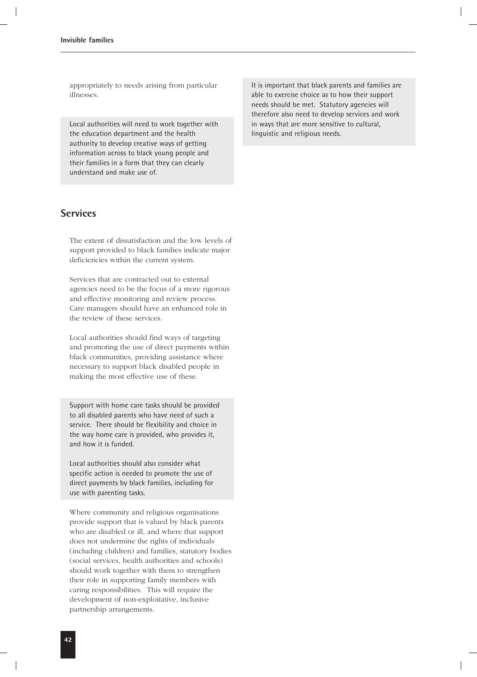appropriately to needs arising from particular illnesses.

Local authorities will need to work together with the education department and the health authority to develop creative ways of getting information across to black young people and their families in a form that they can clearly understand and make use of.

### **Services**

The extent of dissatisfaction and the low levels of support provided to black families indicate major deficiencies within the current system.

Services that are contracted out to external agencies need to be the focus of a more rigorous and effective monitoring and review process. Care managers should have an enhanced role in the review of these services.

Local authorities should find ways of targeting and promoting the use of direct payments within black communities, providing assistance where necessary to support black disabled people in making the most effective use of these.

Support with home care tasks should be provided to all disabled parents who have need of such a service. There should be flexibility and choice in the way home care is provided, who provides it, and how it is funded.

Local authorities should also consider what specific action is needed to promote the use of direct payments by black families, including for use with parenting tasks.

Where community and religious organisations provide support that is valued by black parents who are disabled or ill, and where that support does not undermine the rights of individuals (including children) and families, statutory bodies (social services, health authorities and schools) should work together with them to strengthen their role in supporting family members with caring responsibilities. This will require the development of non-exploitative, inclusive partnership arrangements.

It is important that black parents and families are able to exercise choice as to how their support needs should be met. Statutory agencies will therefore also need to develop services and work in ways that are more sensitive to cultural, linguistic and religious needs.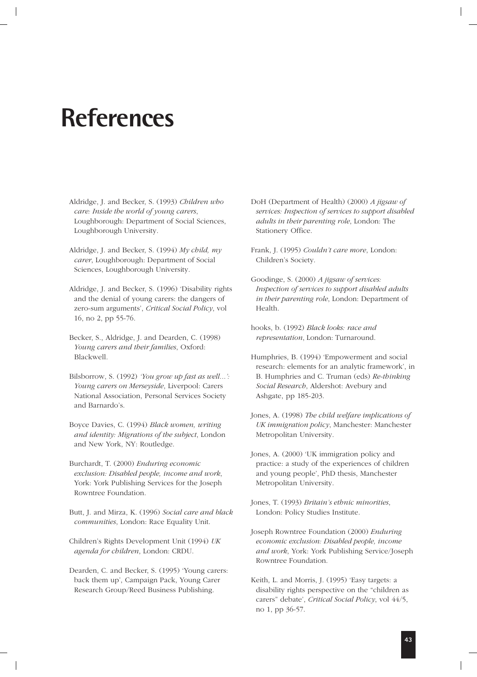### **References**

Aldridge, J. and Becker, S. (1993) *Children who care: Inside the world of young carers*, Loughborough: Department of Social Sciences, Loughborough University.

- Aldridge, J. and Becker, S. (1994) *My child, my carer*, Loughborough: Department of Social Sciences, Loughborough University.
- Aldridge, J. and Becker, S. (1996) 'Disability rights and the denial of young carers: the dangers of zero-sum arguments', *Critical Social Policy*, vol 16, no 2, pp 55-76.
- Becker, S., Aldridge, J. and Dearden, C. (1998) *Young carers and their families*, Oxford: Blackwell.
- Bilsborrow, S. (1992) *'You grow up fast as well...': Young carers on Merseyside*, Liverpool: Carers National Association, Personal Services Society and Barnardo's.

Boyce Davies, C. (1994) *Black women, writing and identity: Migrations of the subject*, London and New York, NY: Routledge.

Burchardt, T. (2000) *Enduring economic exclusion: Disabled people, income and work*, York: York Publishing Services for the Joseph Rowntree Foundation.

Butt, J. and Mirza, K. (1996) *Social care and black communities*, London: Race Equality Unit.

Children's Rights Development Unit (1994) *UK agenda for children*, London: CRDU.

Dearden, C. and Becker, S. (1995) 'Young carers: back them up', Campaign Pack, Young Carer Research Group/Reed Business Publishing.

DoH (Department of Health) (2000) *A jigsaw of services: Inspection of services to support disabled adults in their parenting role*, London: The Stationery Office.

Frank, J. (1995) *Couldn't care more*, London: Children's Society.

Goodinge, S. (2000) *A jigsaw of services: Inspection of services to support disabled adults in their parenting role*, London: Department of Health.

hooks, b. (1992) *Black looks: race and representation*, London: Turnaround.

- Humphries, B. (1994) 'Empowerment and social research: elements for an analytic framework', in B. Humphries and C. Truman (eds) *Re-thinking Social Research*, Aldershot: Avebury and Ashgate, pp 185-203.
- Jones, A. (1998) *The child welfare implications of UK immigration policy*, Manchester: Manchester Metropolitan University.

Jones, A. (2000) 'UK immigration policy and practice: a study of the experiences of children and young people', PhD thesis, Manchester Metropolitan University.

- Joseph Rowntree Foundation (2000) *Enduring economic exclusion: Disabled people, income and work*, York: York Publishing Service/Joseph Rowntree Foundation.
- Keith, L. and Morris, J. (1995) 'Easy targets: a disability rights perspective on the "children as carers" debate', *Critical Social Policy*, vol 44/5, no 1, pp 36-57.

Jones, T. (1993) *Britain's ethnic minorities*, London: Policy Studies Institute.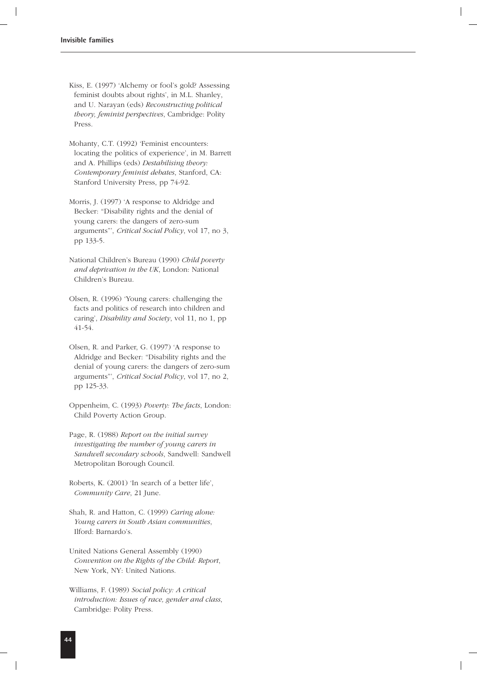- Kiss, E. (1997) 'Alchemy or fool's gold? Assessing feminist doubts about rights', in M.L. Shanley, and U. Narayan (eds) *Reconstructing political theory, feminist perspectives*, Cambridge: Polity Press.
- Mohanty, C.T. (1992) 'Feminist encounters: locating the politics of experience', in M. Barrett and A. Phillips (eds) *Destabilising theory: Contemporary feminist debates*, Stanford, CA: Stanford University Press, pp 74-92.
- Morris, J. (1997) 'A response to Aldridge and Becker: "Disability rights and the denial of young carers: the dangers of zero-sum arguments"', *Critical Social Policy*, vol 17, no 3, pp 133-5.
- National Children's Bureau (1990) *Child poverty and deprivation in the UK*, London: National Children's Bureau.
- Olsen, R. (1996) 'Young carers: challenging the facts and politics of research into children and caring', *Disability and Society*, vol 11, no 1, pp 41-54.
- Olsen, R. and Parker, G. (1997) 'A response to Aldridge and Becker: "Disability rights and the denial of young carers: the dangers of zero-sum arguments"', *Critical Social Policy*, vol 17, no 2, pp 125-33.
- Oppenheim, C. (1993) *Poverty: The facts*, London: Child Poverty Action Group.
- Page, R. (1988) *Report on the initial survey investigating the number of young carers in Sandwell secondary schools*, Sandwell: Sandwell Metropolitan Borough Council.
- Roberts, K. (2001) 'In search of a better life', *Community Care*, 21 June.
- Shah, R. and Hatton, C. (1999) *Caring alone: Young carers in South Asian communities*, Ilford: Barnardo's.
- United Nations General Assembly (1990) *Convention on the Rights of the Child: Report*, New York, NY: United Nations.
- Williams, F. (1989) *Social policy: A critical introduction: Issues of race, gender and class*, Cambridge: Polity Press.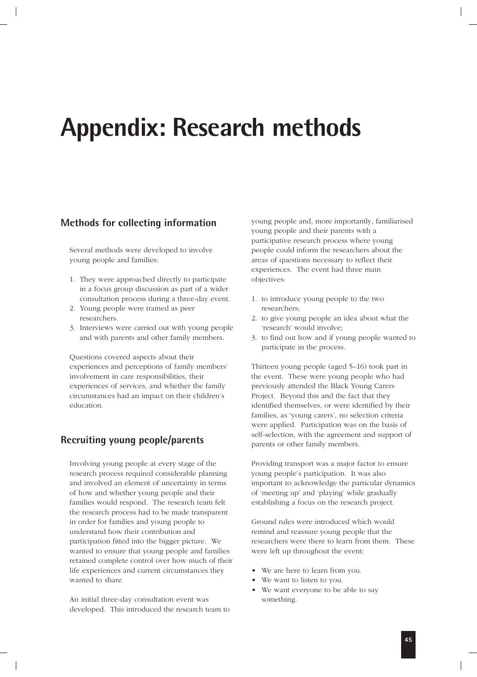### **Appendix: Research methods**

### **Methods for collecting information**

Several methods were developed to involve young people and families:

- 1. They were approached directly to participate in a focus group discussion as part of a wider consultation process during a three-day event.
- 2. Young people were trained as peer researchers.
- 3. Interviews were carried out with young people and with parents and other family members.

Questions covered aspects about their experiences and perceptions of family members' involvement in care responsibilities, their experiences of services, and whether the family circumstances had an impact on their children's education.

### **Recruiting young people/parents**

Involving young people at every stage of the research process required considerable planning and involved an element of uncertainty in terms of how and whether young people and their families would respond. The research team felt the research process had to be made transparent in order for families and young people to understand how their contribution and participation fitted into the bigger picture. We wanted to ensure that young people and families retained complete control over how much of their life experiences and current circumstances they wanted to share.

An initial three-day consultation event was developed. This introduced the research team to young people and, more importantly, familiarised young people and their parents with a participative research process where young people could inform the researchers about the areas of questions necessary to reflect their experiences. The event had three main objectives:

- 1. to introduce young people to the two researchers;
- 2. to give young people an idea about what the 'research' would involve;
- 3. to find out how and if young people wanted to participate in the process.

Thirteen young people (aged 5–16) took part in the event. These were young people who had previously attended the Black Young Carers Project. Beyond this and the fact that they identified themselves, or were identified by their families, as 'young carers', no selection criteria were applied. Participation was on the basis of self-selection, with the agreement and support of parents or other family members.

Providing transport was a major factor to ensure young people's participation. It was also important to acknowledge the particular dynamics of 'meeting up' and 'playing' while gradually establishing a focus on the research project.

Ground rules were introduced which would remind and reassure young people that the researchers were there to learn from them. These were left up throughout the event:

- We are here to learn from you.
- We want to listen to you.
- We want everyone to be able to say something.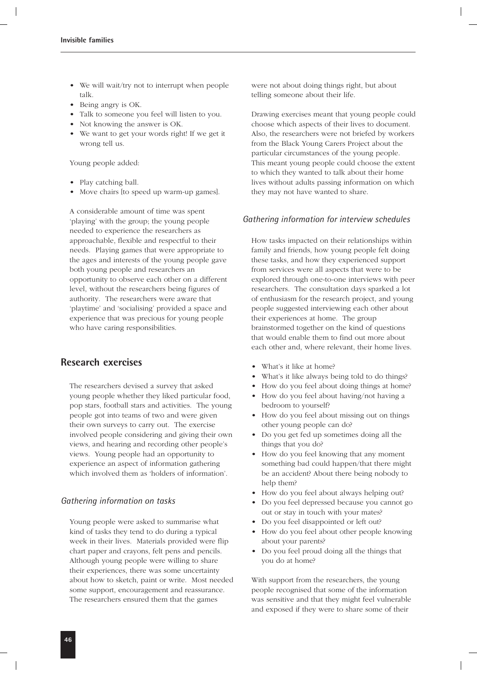- We will wait/try not to interrupt when people talk.
- Being angry is OK.
- Talk to someone you feel will listen to you.
- Not knowing the answer is OK.
- We want to get your words right! If we get it wrong tell us.

Young people added:

- Play catching ball.
- Move chairs [to speed up warm-up games].

A considerable amount of time was spent 'playing' with the group; the young people needed to experience the researchers as approachable, flexible and respectful to their needs. Playing games that were appropriate to the ages and interests of the young people gave both young people and researchers an opportunity to observe each other on a different level, without the researchers being figures of authority. The researchers were aware that 'playtime' and 'socialising' provided a space and experience that was precious for young people who have caring responsibilities.

### **Research exercises**

The researchers devised a survey that asked young people whether they liked particular food, pop stars, football stars and activities. The young people got into teams of two and were given their own surveys to carry out. The exercise involved people considering and giving their own views, and hearing and recording other people's views. Young people had an opportunity to experience an aspect of information gathering which involved them as 'holders of information'.

#### *Gathering information on tasks*

Young people were asked to summarise what kind of tasks they tend to do during a typical week in their lives. Materials provided were flip chart paper and crayons, felt pens and pencils. Although young people were willing to share their experiences, there was some uncertainty about how to sketch, paint or write. Most needed some support, encouragement and reassurance. The researchers ensured them that the games

were not about doing things right, but about telling someone about their life.

Drawing exercises meant that young people could choose which aspects of their lives to document. Also, the researchers were not briefed by workers from the Black Young Carers Project about the particular circumstances of the young people. This meant young people could choose the extent to which they wanted to talk about their home lives without adults passing information on which they may not have wanted to share.

#### *Gathering information for interview schedules*

How tasks impacted on their relationships within family and friends, how young people felt doing these tasks, and how they experienced support from services were all aspects that were to be explored through one-to-one interviews with peer researchers. The consultation days sparked a lot of enthusiasm for the research project, and young people suggested interviewing each other about their experiences at home. The group brainstormed together on the kind of questions that would enable them to find out more about each other and, where relevant, their home lives.

- What's it like at home?
- What's it like always being told to do things?
- How do you feel about doing things at home?
- How do you feel about having/not having a bedroom to yourself?
- How do you feel about missing out on things other young people can do?
- Do you get fed up sometimes doing all the things that you do?
- How do you feel knowing that any moment something bad could happen/that there might be an accident? About there being nobody to help them?
- How do you feel about always helping out?
- Do you feel depressed because you cannot go out or stay in touch with your mates?
- Do you feel disappointed or left out?
- How do you feel about other people knowing about your parents?
- Do you feel proud doing all the things that you do at home?

With support from the researchers, the young people recognised that some of the information was sensitive and that they might feel vulnerable and exposed if they were to share some of their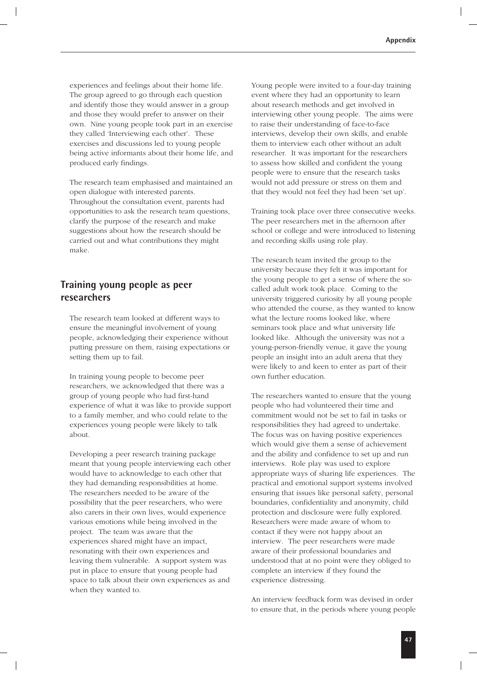experiences and feelings about their home life. The group agreed to go through each question and identify those they would answer in a group and those they would prefer to answer on their own. Nine young people took part in an exercise they called 'Interviewing each other'. These exercises and discussions led to young people being active informants about their home life, and produced early findings.

The research team emphasised and maintained an open dialogue with interested parents. Throughout the consultation event, parents had opportunities to ask the research team questions, clarify the purpose of the research and make suggestions about how the research should be carried out and what contributions they might make.

### **Training young people as peer researchers**

The research team looked at different ways to ensure the meaningful involvement of young people, acknowledging their experience without putting pressure on them, raising expectations or setting them up to fail.

In training young people to become peer researchers, we acknowledged that there was a group of young people who had first-hand experience of what it was like to provide support to a family member, and who could relate to the experiences young people were likely to talk about.

Developing a peer research training package meant that young people interviewing each other would have to acknowledge to each other that they had demanding responsibilities at home. The researchers needed to be aware of the possibility that the peer researchers, who were also carers in their own lives, would experience various emotions while being involved in the project. The team was aware that the experiences shared might have an impact, resonating with their own experiences and leaving them vulnerable. A support system was put in place to ensure that young people had space to talk about their own experiences as and when they wanted to.

Young people were invited to a four-day training event where they had an opportunity to learn about research methods and get involved in interviewing other young people. The aims were to raise their understanding of face-to-face interviews, develop their own skills, and enable them to interview each other without an adult researcher. It was important for the researchers to assess how skilled and confident the young people were to ensure that the research tasks would not add pressure or stress on them and that they would not feel they had been 'set up'.

Training took place over three consecutive weeks. The peer researchers met in the afternoon after school or college and were introduced to listening and recording skills using role play.

The research team invited the group to the university because they felt it was important for the young people to get a sense of where the socalled adult work took place. Coming to the university triggered curiosity by all young people who attended the course, as they wanted to know what the lecture rooms looked like, where seminars took place and what university life looked like. Although the university was not a young-person-friendly venue, it gave the young people an insight into an adult arena that they were likely to and keen to enter as part of their own further education.

The researchers wanted to ensure that the young people who had volunteered their time and commitment would not be set to fail in tasks or responsibilities they had agreed to undertake. The focus was on having positive experiences which would give them a sense of achievement and the ability and confidence to set up and run interviews. Role play was used to explore appropriate ways of sharing life experiences. The practical and emotional support systems involved ensuring that issues like personal safety, personal boundaries, confidentiality and anonymity, child protection and disclosure were fully explored. Researchers were made aware of whom to contact if they were not happy about an interview. The peer researchers were made aware of their professional boundaries and understood that at no point were they obliged to complete an interview if they found the experience distressing.

An interview feedback form was devised in order to ensure that, in the periods where young people